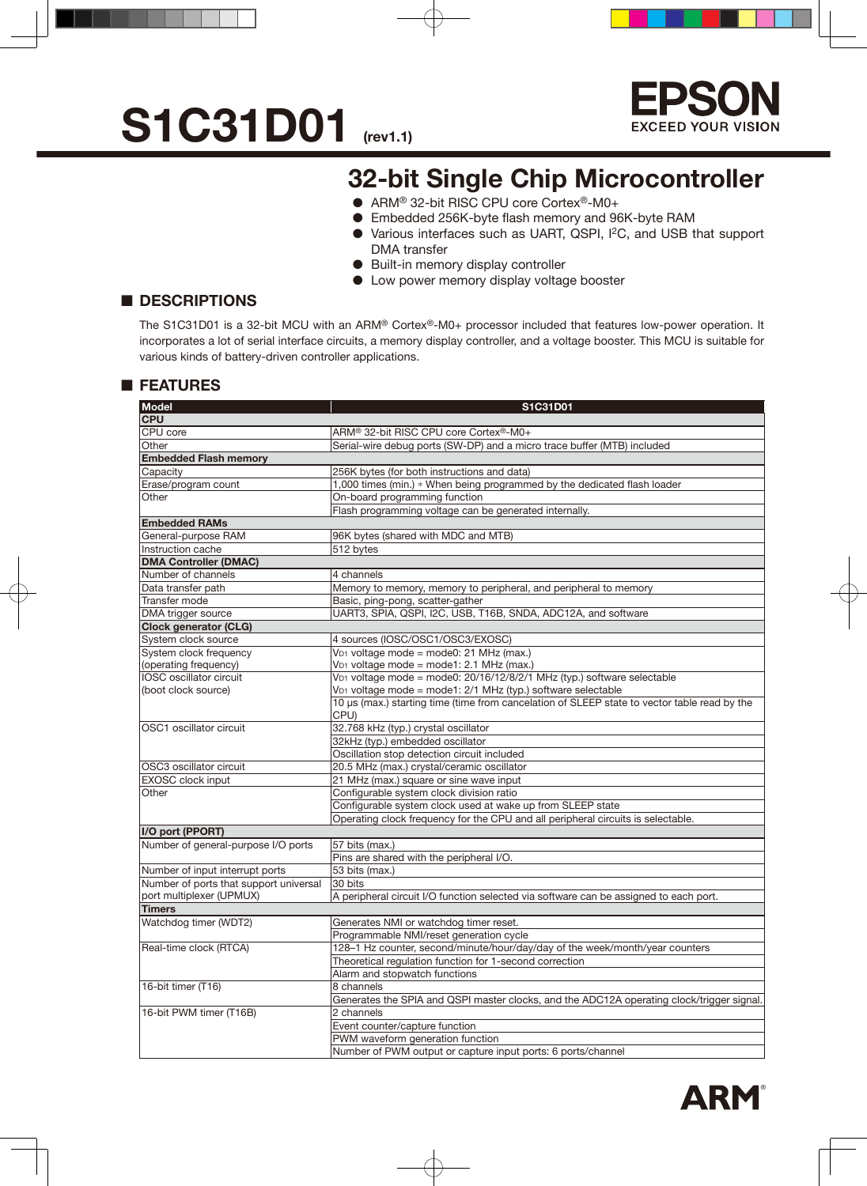

### **32-bit Single Chip Microcontroller**

- ARM<sup>®</sup> 32-bit RISC CPU core Cortex<sup>®</sup>-M0+
- Embedded 256K-byte flash memory and 96K-byte RAM
- Various interfaces such as UART, QSPI, I2C, and USB that support DMA transfer
- Built-in memory display controller
- Low power memory display voltage booster

### ■ **DESCRIPTIONS**

The S1C31D01 is a 32-bit MCU with an ARM® Cortex®-M0+ processor included that features low-power operation. It incorporates a lot of serial interface circuits, a memory display controller, and a voltage booster. This MCU is suitable for various kinds of battery-driven controller applications.

### ■ **FEATURES**

| <b>Model</b>                           | S1C31D01                                                                                     |  |  |  |  |  |  |  |
|----------------------------------------|----------------------------------------------------------------------------------------------|--|--|--|--|--|--|--|
| <b>CPU</b>                             |                                                                                              |  |  |  |  |  |  |  |
| <b>CPU</b> core                        | ARM® 32-bit RISC CPU core Cortex®-M0+                                                        |  |  |  |  |  |  |  |
| Other                                  | Serial-wire debug ports (SW-DP) and a micro trace buffer (MTB) included                      |  |  |  |  |  |  |  |
| <b>Embedded Flash memory</b>           |                                                                                              |  |  |  |  |  |  |  |
| Capacity                               | 256K bytes (for both instructions and data)                                                  |  |  |  |  |  |  |  |
| Erase/program count                    | 1,000 times (min.) * When being programmed by the dedicated flash loader                     |  |  |  |  |  |  |  |
| Other                                  | On-board programming function                                                                |  |  |  |  |  |  |  |
|                                        | Flash programming voltage can be generated internally.                                       |  |  |  |  |  |  |  |
| <b>Embedded RAMs</b>                   |                                                                                              |  |  |  |  |  |  |  |
| General-purpose RAM                    | 96K bytes (shared with MDC and MTB)                                                          |  |  |  |  |  |  |  |
| Instruction cache                      | 512 bytes                                                                                    |  |  |  |  |  |  |  |
| <b>DMA Controller (DMAC)</b>           |                                                                                              |  |  |  |  |  |  |  |
| Number of channels                     | 4 channels                                                                                   |  |  |  |  |  |  |  |
| Data transfer path                     | Memory to memory, memory to peripheral, and peripheral to memory                             |  |  |  |  |  |  |  |
| Transfer mode                          | Basic, ping-pong, scatter-gather                                                             |  |  |  |  |  |  |  |
| DMA trigger source                     | UART3, SPIA, QSPI, I2C, USB, T16B, SNDA, ADC12A, and software                                |  |  |  |  |  |  |  |
| <b>Clock generator (CLG)</b>           |                                                                                              |  |  |  |  |  |  |  |
| System clock source                    | 4 sources (IOSC/OSC1/OSC3/EXOSC)                                                             |  |  |  |  |  |  |  |
| System clock frequency                 | V <sub>D1</sub> voltage mode = mode0: 21 MHz (max.)                                          |  |  |  |  |  |  |  |
| (operating frequency)                  | V <sub>D1</sub> voltage mode = mode1: 2.1 MHz (max.)                                         |  |  |  |  |  |  |  |
| IOSC oscillator circuit                | V <sub>D1</sub> voltage mode = mode0: 20/16/12/8/2/1 MHz (typ.) software selectable          |  |  |  |  |  |  |  |
| (boot clock source)                    | VD1 voltage mode = mode1: 2/1 MHz (typ.) software selectable                                 |  |  |  |  |  |  |  |
|                                        | 10 µs (max.) starting time (time from cancelation of SLEEP state to vector table read by the |  |  |  |  |  |  |  |
|                                        | CPU)                                                                                         |  |  |  |  |  |  |  |
| OSC1 oscillator circuit                | 32.768 kHz (typ.) crystal oscillator                                                         |  |  |  |  |  |  |  |
|                                        | 32kHz (typ.) embedded oscillator                                                             |  |  |  |  |  |  |  |
|                                        | Oscillation stop detection circuit included                                                  |  |  |  |  |  |  |  |
| OSC3 oscillator circuit                | 20.5 MHz (max.) crystal/ceramic oscillator                                                   |  |  |  |  |  |  |  |
| <b>EXOSC</b> clock input               | 21 MHz (max.) square or sine wave input                                                      |  |  |  |  |  |  |  |
| Other                                  | Configurable system clock division ratio                                                     |  |  |  |  |  |  |  |
|                                        | Configurable system clock used at wake up from SLEEP state                                   |  |  |  |  |  |  |  |
|                                        | Operating clock frequency for the CPU and all peripheral circuits is selectable.             |  |  |  |  |  |  |  |
| I/O port (PPORT)                       |                                                                                              |  |  |  |  |  |  |  |
| Number of general-purpose I/O ports    | 57 bits (max.)                                                                               |  |  |  |  |  |  |  |
|                                        | Pins are shared with the peripheral I/O.                                                     |  |  |  |  |  |  |  |
| Number of input interrupt ports        | 53 bits (max.)                                                                               |  |  |  |  |  |  |  |
| Number of ports that support universal | 30 bits                                                                                      |  |  |  |  |  |  |  |
| port multiplexer (UPMUX)               | A peripheral circuit I/O function selected via software can be assigned to each port.        |  |  |  |  |  |  |  |
| <b>Timers</b>                          |                                                                                              |  |  |  |  |  |  |  |
| Watchdog timer (WDT2)                  | Generates NMI or watchdog timer reset.                                                       |  |  |  |  |  |  |  |
|                                        | Programmable NMI/reset generation cycle                                                      |  |  |  |  |  |  |  |
| Real-time clock (RTCA)                 | 128-1 Hz counter, second/minute/hour/day/day of the week/month/year counters                 |  |  |  |  |  |  |  |
|                                        | Theoretical regulation function for 1-second correction                                      |  |  |  |  |  |  |  |
|                                        | Alarm and stopwatch functions                                                                |  |  |  |  |  |  |  |
| 16-bit timer (T16)                     | 8 channels                                                                                   |  |  |  |  |  |  |  |
|                                        | Generates the SPIA and QSPI master clocks, and the ADC12A operating clock/trigger signal.    |  |  |  |  |  |  |  |
| 16-bit PWM timer (T16B)                | 2 channels                                                                                   |  |  |  |  |  |  |  |
|                                        | Event counter/capture function                                                               |  |  |  |  |  |  |  |
|                                        | PWM waveform generation function                                                             |  |  |  |  |  |  |  |
|                                        | Number of PWM output or capture input ports: 6 ports/channel                                 |  |  |  |  |  |  |  |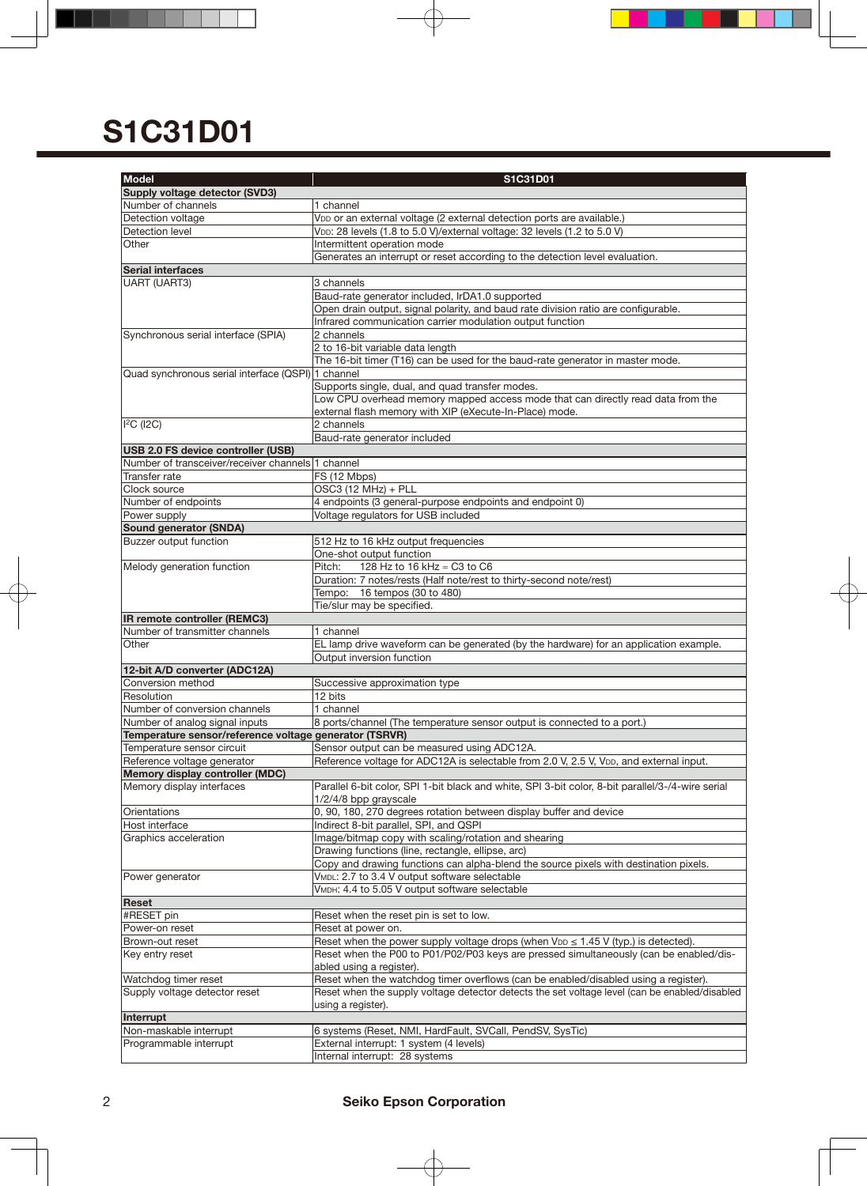| Supply voltage detector (SVD3)<br>Number of channels<br>1 channel<br>Detection voltage<br>VDD or an external voltage (2 external detection ports are available.)<br>VDD: 28 levels (1.8 to 5.0 V)/external voltage: 32 levels (1.2 to 5.0 V)<br>Detection level<br>Other<br>Intermittent operation mode<br>Generates an interrupt or reset according to the detection level evaluation.<br>Serial interfaces<br>UART (UART3)<br>3 channels<br>Baud-rate generator included, IrDA1.0 supported<br>Open drain output, signal polarity, and baud rate division ratio are configurable.<br>Infrared communication carrier modulation output function<br>2 channels<br>Synchronous serial interface (SPIA)<br>2 to 16-bit variable data length<br>The 16-bit timer (T16) can be used for the baud-rate generator in master mode.<br>Quad synchronous serial interface (QSPI) 1 channel<br>Supports single, dual, and quad transfer modes.<br>Low CPU overhead memory mapped access mode that can directly read data from the<br>external flash memory with XIP (eXecute-In-Place) mode.<br>$ $ <sup>2</sup> C ( $ $ 2C)<br>2 channels<br>Baud-rate generator included<br>USB 2.0 FS device controller (USB)<br>Number of transceiver/receiver channels 1 channel<br>FS (12 Mbps)<br>Transfer rate<br>OSC3 (12 MHz) + PLL<br>Clock source<br>4 endpoints (3 general-purpose endpoints and endpoint 0)<br>Number of endpoints<br>Voltage regulators for USB included<br>Power supply<br>Sound generator (SNDA)<br>Buzzer output function<br>512 Hz to 16 kHz output frequencies<br>One-shot output function<br>Pitch:<br>128 Hz to 16 kHz ≈ C3 to C6<br>Melody generation function<br>Duration: 7 notes/rests (Half note/rest to thirty-second note/rest)<br>Tempo: 16 tempos (30 to 480)<br>Tie/slur may be specified.<br>IR remote controller (REMC3)<br>Number of transmitter channels<br>1 channel<br>EL lamp drive waveform can be generated (by the hardware) for an application example.<br>Other<br>Output inversion function<br>12-bit A/D converter (ADC12A)<br>Conversion method<br>Successive approximation type<br>12 bits<br>Resolution<br>Number of conversion channels<br>1 channel<br>Number of analog signal inputs<br>8 ports/channel (The temperature sensor output is connected to a port.)<br>Temperature sensor/reference voltage generator (TSRVR)<br>Sensor output can be measured using ADC12A.<br>Temperature sensor circuit<br>Reference voltage for ADC12A is selectable from 2.0 V, 2.5 V, VDD, and external input.<br>Reference voltage generator<br>Memory display controller (MDC)<br>Memory display interfaces<br>Parallel 6-bit color, SPI 1-bit black and white, SPI 3-bit color, 8-bit parallel/3-/4-wire serial<br>1/2/4/8 bpp grayscale<br>0, 90, 180, 270 degrees rotation between display buffer and device<br>Orientations<br>Host interface<br>Indirect 8-bit parallel, SPI, and QSPI<br>Image/bitmap copy with scaling/rotation and shearing<br>Graphics acceleration<br>Drawing functions (line, rectangle, ellipse, arc)<br>Copy and drawing functions can alpha-blend the source pixels with destination pixels.<br>VMDL: 2.7 to 3.4 V output software selectable<br>Power generator<br>VMDH: 4.4 to 5.05 V output software selectable<br>Reset<br>#RESET pin<br>Reset when the reset pin is set to low.<br>Power-on reset<br>Reset at power on.<br>Reset when the power supply voltage drops (when $V_{DD} \le 1.45$ V (typ.) is detected).<br>Brown-out reset<br>Reset when the P00 to P01/P02/P03 keys are pressed simultaneously (can be enabled/dis-<br>Key entry reset<br>abled using a register).<br>Reset when the watchdog timer overflows (can be enabled/disabled using a register).<br>Watchdog timer reset<br>Supply voltage detector reset<br>Reset when the supply voltage detector detects the set voltage level (can be enabled/disabled<br>using a register).<br>Interrupt<br>Non-maskable interrupt<br>6 systems (Reset, NMI, HardFault, SVCall, PendSV, SysTic)<br>Programmable interrupt<br>External interrupt: 1 system (4 levels) | <b>Model</b> | S1C31D01                       |  |  |  |  |  |  |  |
|--------------------------------------------------------------------------------------------------------------------------------------------------------------------------------------------------------------------------------------------------------------------------------------------------------------------------------------------------------------------------------------------------------------------------------------------------------------------------------------------------------------------------------------------------------------------------------------------------------------------------------------------------------------------------------------------------------------------------------------------------------------------------------------------------------------------------------------------------------------------------------------------------------------------------------------------------------------------------------------------------------------------------------------------------------------------------------------------------------------------------------------------------------------------------------------------------------------------------------------------------------------------------------------------------------------------------------------------------------------------------------------------------------------------------------------------------------------------------------------------------------------------------------------------------------------------------------------------------------------------------------------------------------------------------------------------------------------------------------------------------------------------------------------------------------------------------------------------------------------------------------------------------------------------------------------------------------------------------------------------------------------------------------------------------------------------------------------------------------------------------------------------------------------------------------------------------------------------------------------------------------------------------------------------------------------------------------------------------------------------------------------------------------------------------------------------------------------------------------------------------------------------------------------------------------------------------------------------------------------------------------------------------------------------------------------------------------------------------------------------------------------------------------------------------------------------------------------------------------------------------------------------------------------------------------------------------------------------------------------------------------------------------------------------------------------------------------------------------------------------------------------------------------------------------------------------------------------------------------------------------------------------------------------------------------------------------------------------------------------------------------------------------------------------------------------------------------------------------------------------------------------------------------------------------------------------------------------------------------------------------------------------------------------------------------------------------------------------------------------------------------------------------------------------------------------------------------------------------------------------------------------------------------------------------------------------------------------------------------------------------------------------------------------------------------------------------------------------------|--------------|--------------------------------|--|--|--|--|--|--|--|
|                                                                                                                                                                                                                                                                                                                                                                                                                                                                                                                                                                                                                                                                                                                                                                                                                                                                                                                                                                                                                                                                                                                                                                                                                                                                                                                                                                                                                                                                                                                                                                                                                                                                                                                                                                                                                                                                                                                                                                                                                                                                                                                                                                                                                                                                                                                                                                                                                                                                                                                                                                                                                                                                                                                                                                                                                                                                                                                                                                                                                                                                                                                                                                                                                                                                                                                                                                                                                                                                                                                                                                                                                                                                                                                                                                                                                                                                                                                                                                                                                                                                                                  |              |                                |  |  |  |  |  |  |  |
|                                                                                                                                                                                                                                                                                                                                                                                                                                                                                                                                                                                                                                                                                                                                                                                                                                                                                                                                                                                                                                                                                                                                                                                                                                                                                                                                                                                                                                                                                                                                                                                                                                                                                                                                                                                                                                                                                                                                                                                                                                                                                                                                                                                                                                                                                                                                                                                                                                                                                                                                                                                                                                                                                                                                                                                                                                                                                                                                                                                                                                                                                                                                                                                                                                                                                                                                                                                                                                                                                                                                                                                                                                                                                                                                                                                                                                                                                                                                                                                                                                                                                                  |              |                                |  |  |  |  |  |  |  |
|                                                                                                                                                                                                                                                                                                                                                                                                                                                                                                                                                                                                                                                                                                                                                                                                                                                                                                                                                                                                                                                                                                                                                                                                                                                                                                                                                                                                                                                                                                                                                                                                                                                                                                                                                                                                                                                                                                                                                                                                                                                                                                                                                                                                                                                                                                                                                                                                                                                                                                                                                                                                                                                                                                                                                                                                                                                                                                                                                                                                                                                                                                                                                                                                                                                                                                                                                                                                                                                                                                                                                                                                                                                                                                                                                                                                                                                                                                                                                                                                                                                                                                  |              |                                |  |  |  |  |  |  |  |
|                                                                                                                                                                                                                                                                                                                                                                                                                                                                                                                                                                                                                                                                                                                                                                                                                                                                                                                                                                                                                                                                                                                                                                                                                                                                                                                                                                                                                                                                                                                                                                                                                                                                                                                                                                                                                                                                                                                                                                                                                                                                                                                                                                                                                                                                                                                                                                                                                                                                                                                                                                                                                                                                                                                                                                                                                                                                                                                                                                                                                                                                                                                                                                                                                                                                                                                                                                                                                                                                                                                                                                                                                                                                                                                                                                                                                                                                                                                                                                                                                                                                                                  |              |                                |  |  |  |  |  |  |  |
|                                                                                                                                                                                                                                                                                                                                                                                                                                                                                                                                                                                                                                                                                                                                                                                                                                                                                                                                                                                                                                                                                                                                                                                                                                                                                                                                                                                                                                                                                                                                                                                                                                                                                                                                                                                                                                                                                                                                                                                                                                                                                                                                                                                                                                                                                                                                                                                                                                                                                                                                                                                                                                                                                                                                                                                                                                                                                                                                                                                                                                                                                                                                                                                                                                                                                                                                                                                                                                                                                                                                                                                                                                                                                                                                                                                                                                                                                                                                                                                                                                                                                                  |              |                                |  |  |  |  |  |  |  |
|                                                                                                                                                                                                                                                                                                                                                                                                                                                                                                                                                                                                                                                                                                                                                                                                                                                                                                                                                                                                                                                                                                                                                                                                                                                                                                                                                                                                                                                                                                                                                                                                                                                                                                                                                                                                                                                                                                                                                                                                                                                                                                                                                                                                                                                                                                                                                                                                                                                                                                                                                                                                                                                                                                                                                                                                                                                                                                                                                                                                                                                                                                                                                                                                                                                                                                                                                                                                                                                                                                                                                                                                                                                                                                                                                                                                                                                                                                                                                                                                                                                                                                  |              |                                |  |  |  |  |  |  |  |
|                                                                                                                                                                                                                                                                                                                                                                                                                                                                                                                                                                                                                                                                                                                                                                                                                                                                                                                                                                                                                                                                                                                                                                                                                                                                                                                                                                                                                                                                                                                                                                                                                                                                                                                                                                                                                                                                                                                                                                                                                                                                                                                                                                                                                                                                                                                                                                                                                                                                                                                                                                                                                                                                                                                                                                                                                                                                                                                                                                                                                                                                                                                                                                                                                                                                                                                                                                                                                                                                                                                                                                                                                                                                                                                                                                                                                                                                                                                                                                                                                                                                                                  |              |                                |  |  |  |  |  |  |  |
|                                                                                                                                                                                                                                                                                                                                                                                                                                                                                                                                                                                                                                                                                                                                                                                                                                                                                                                                                                                                                                                                                                                                                                                                                                                                                                                                                                                                                                                                                                                                                                                                                                                                                                                                                                                                                                                                                                                                                                                                                                                                                                                                                                                                                                                                                                                                                                                                                                                                                                                                                                                                                                                                                                                                                                                                                                                                                                                                                                                                                                                                                                                                                                                                                                                                                                                                                                                                                                                                                                                                                                                                                                                                                                                                                                                                                                                                                                                                                                                                                                                                                                  |              |                                |  |  |  |  |  |  |  |
|                                                                                                                                                                                                                                                                                                                                                                                                                                                                                                                                                                                                                                                                                                                                                                                                                                                                                                                                                                                                                                                                                                                                                                                                                                                                                                                                                                                                                                                                                                                                                                                                                                                                                                                                                                                                                                                                                                                                                                                                                                                                                                                                                                                                                                                                                                                                                                                                                                                                                                                                                                                                                                                                                                                                                                                                                                                                                                                                                                                                                                                                                                                                                                                                                                                                                                                                                                                                                                                                                                                                                                                                                                                                                                                                                                                                                                                                                                                                                                                                                                                                                                  |              |                                |  |  |  |  |  |  |  |
|                                                                                                                                                                                                                                                                                                                                                                                                                                                                                                                                                                                                                                                                                                                                                                                                                                                                                                                                                                                                                                                                                                                                                                                                                                                                                                                                                                                                                                                                                                                                                                                                                                                                                                                                                                                                                                                                                                                                                                                                                                                                                                                                                                                                                                                                                                                                                                                                                                                                                                                                                                                                                                                                                                                                                                                                                                                                                                                                                                                                                                                                                                                                                                                                                                                                                                                                                                                                                                                                                                                                                                                                                                                                                                                                                                                                                                                                                                                                                                                                                                                                                                  |              |                                |  |  |  |  |  |  |  |
|                                                                                                                                                                                                                                                                                                                                                                                                                                                                                                                                                                                                                                                                                                                                                                                                                                                                                                                                                                                                                                                                                                                                                                                                                                                                                                                                                                                                                                                                                                                                                                                                                                                                                                                                                                                                                                                                                                                                                                                                                                                                                                                                                                                                                                                                                                                                                                                                                                                                                                                                                                                                                                                                                                                                                                                                                                                                                                                                                                                                                                                                                                                                                                                                                                                                                                                                                                                                                                                                                                                                                                                                                                                                                                                                                                                                                                                                                                                                                                                                                                                                                                  |              |                                |  |  |  |  |  |  |  |
|                                                                                                                                                                                                                                                                                                                                                                                                                                                                                                                                                                                                                                                                                                                                                                                                                                                                                                                                                                                                                                                                                                                                                                                                                                                                                                                                                                                                                                                                                                                                                                                                                                                                                                                                                                                                                                                                                                                                                                                                                                                                                                                                                                                                                                                                                                                                                                                                                                                                                                                                                                                                                                                                                                                                                                                                                                                                                                                                                                                                                                                                                                                                                                                                                                                                                                                                                                                                                                                                                                                                                                                                                                                                                                                                                                                                                                                                                                                                                                                                                                                                                                  |              |                                |  |  |  |  |  |  |  |
|                                                                                                                                                                                                                                                                                                                                                                                                                                                                                                                                                                                                                                                                                                                                                                                                                                                                                                                                                                                                                                                                                                                                                                                                                                                                                                                                                                                                                                                                                                                                                                                                                                                                                                                                                                                                                                                                                                                                                                                                                                                                                                                                                                                                                                                                                                                                                                                                                                                                                                                                                                                                                                                                                                                                                                                                                                                                                                                                                                                                                                                                                                                                                                                                                                                                                                                                                                                                                                                                                                                                                                                                                                                                                                                                                                                                                                                                                                                                                                                                                                                                                                  |              |                                |  |  |  |  |  |  |  |
|                                                                                                                                                                                                                                                                                                                                                                                                                                                                                                                                                                                                                                                                                                                                                                                                                                                                                                                                                                                                                                                                                                                                                                                                                                                                                                                                                                                                                                                                                                                                                                                                                                                                                                                                                                                                                                                                                                                                                                                                                                                                                                                                                                                                                                                                                                                                                                                                                                                                                                                                                                                                                                                                                                                                                                                                                                                                                                                                                                                                                                                                                                                                                                                                                                                                                                                                                                                                                                                                                                                                                                                                                                                                                                                                                                                                                                                                                                                                                                                                                                                                                                  |              |                                |  |  |  |  |  |  |  |
|                                                                                                                                                                                                                                                                                                                                                                                                                                                                                                                                                                                                                                                                                                                                                                                                                                                                                                                                                                                                                                                                                                                                                                                                                                                                                                                                                                                                                                                                                                                                                                                                                                                                                                                                                                                                                                                                                                                                                                                                                                                                                                                                                                                                                                                                                                                                                                                                                                                                                                                                                                                                                                                                                                                                                                                                                                                                                                                                                                                                                                                                                                                                                                                                                                                                                                                                                                                                                                                                                                                                                                                                                                                                                                                                                                                                                                                                                                                                                                                                                                                                                                  |              |                                |  |  |  |  |  |  |  |
|                                                                                                                                                                                                                                                                                                                                                                                                                                                                                                                                                                                                                                                                                                                                                                                                                                                                                                                                                                                                                                                                                                                                                                                                                                                                                                                                                                                                                                                                                                                                                                                                                                                                                                                                                                                                                                                                                                                                                                                                                                                                                                                                                                                                                                                                                                                                                                                                                                                                                                                                                                                                                                                                                                                                                                                                                                                                                                                                                                                                                                                                                                                                                                                                                                                                                                                                                                                                                                                                                                                                                                                                                                                                                                                                                                                                                                                                                                                                                                                                                                                                                                  |              |                                |  |  |  |  |  |  |  |
|                                                                                                                                                                                                                                                                                                                                                                                                                                                                                                                                                                                                                                                                                                                                                                                                                                                                                                                                                                                                                                                                                                                                                                                                                                                                                                                                                                                                                                                                                                                                                                                                                                                                                                                                                                                                                                                                                                                                                                                                                                                                                                                                                                                                                                                                                                                                                                                                                                                                                                                                                                                                                                                                                                                                                                                                                                                                                                                                                                                                                                                                                                                                                                                                                                                                                                                                                                                                                                                                                                                                                                                                                                                                                                                                                                                                                                                                                                                                                                                                                                                                                                  |              |                                |  |  |  |  |  |  |  |
|                                                                                                                                                                                                                                                                                                                                                                                                                                                                                                                                                                                                                                                                                                                                                                                                                                                                                                                                                                                                                                                                                                                                                                                                                                                                                                                                                                                                                                                                                                                                                                                                                                                                                                                                                                                                                                                                                                                                                                                                                                                                                                                                                                                                                                                                                                                                                                                                                                                                                                                                                                                                                                                                                                                                                                                                                                                                                                                                                                                                                                                                                                                                                                                                                                                                                                                                                                                                                                                                                                                                                                                                                                                                                                                                                                                                                                                                                                                                                                                                                                                                                                  |              |                                |  |  |  |  |  |  |  |
|                                                                                                                                                                                                                                                                                                                                                                                                                                                                                                                                                                                                                                                                                                                                                                                                                                                                                                                                                                                                                                                                                                                                                                                                                                                                                                                                                                                                                                                                                                                                                                                                                                                                                                                                                                                                                                                                                                                                                                                                                                                                                                                                                                                                                                                                                                                                                                                                                                                                                                                                                                                                                                                                                                                                                                                                                                                                                                                                                                                                                                                                                                                                                                                                                                                                                                                                                                                                                                                                                                                                                                                                                                                                                                                                                                                                                                                                                                                                                                                                                                                                                                  |              |                                |  |  |  |  |  |  |  |
|                                                                                                                                                                                                                                                                                                                                                                                                                                                                                                                                                                                                                                                                                                                                                                                                                                                                                                                                                                                                                                                                                                                                                                                                                                                                                                                                                                                                                                                                                                                                                                                                                                                                                                                                                                                                                                                                                                                                                                                                                                                                                                                                                                                                                                                                                                                                                                                                                                                                                                                                                                                                                                                                                                                                                                                                                                                                                                                                                                                                                                                                                                                                                                                                                                                                                                                                                                                                                                                                                                                                                                                                                                                                                                                                                                                                                                                                                                                                                                                                                                                                                                  |              |                                |  |  |  |  |  |  |  |
|                                                                                                                                                                                                                                                                                                                                                                                                                                                                                                                                                                                                                                                                                                                                                                                                                                                                                                                                                                                                                                                                                                                                                                                                                                                                                                                                                                                                                                                                                                                                                                                                                                                                                                                                                                                                                                                                                                                                                                                                                                                                                                                                                                                                                                                                                                                                                                                                                                                                                                                                                                                                                                                                                                                                                                                                                                                                                                                                                                                                                                                                                                                                                                                                                                                                                                                                                                                                                                                                                                                                                                                                                                                                                                                                                                                                                                                                                                                                                                                                                                                                                                  |              |                                |  |  |  |  |  |  |  |
|                                                                                                                                                                                                                                                                                                                                                                                                                                                                                                                                                                                                                                                                                                                                                                                                                                                                                                                                                                                                                                                                                                                                                                                                                                                                                                                                                                                                                                                                                                                                                                                                                                                                                                                                                                                                                                                                                                                                                                                                                                                                                                                                                                                                                                                                                                                                                                                                                                                                                                                                                                                                                                                                                                                                                                                                                                                                                                                                                                                                                                                                                                                                                                                                                                                                                                                                                                                                                                                                                                                                                                                                                                                                                                                                                                                                                                                                                                                                                                                                                                                                                                  |              |                                |  |  |  |  |  |  |  |
|                                                                                                                                                                                                                                                                                                                                                                                                                                                                                                                                                                                                                                                                                                                                                                                                                                                                                                                                                                                                                                                                                                                                                                                                                                                                                                                                                                                                                                                                                                                                                                                                                                                                                                                                                                                                                                                                                                                                                                                                                                                                                                                                                                                                                                                                                                                                                                                                                                                                                                                                                                                                                                                                                                                                                                                                                                                                                                                                                                                                                                                                                                                                                                                                                                                                                                                                                                                                                                                                                                                                                                                                                                                                                                                                                                                                                                                                                                                                                                                                                                                                                                  |              |                                |  |  |  |  |  |  |  |
|                                                                                                                                                                                                                                                                                                                                                                                                                                                                                                                                                                                                                                                                                                                                                                                                                                                                                                                                                                                                                                                                                                                                                                                                                                                                                                                                                                                                                                                                                                                                                                                                                                                                                                                                                                                                                                                                                                                                                                                                                                                                                                                                                                                                                                                                                                                                                                                                                                                                                                                                                                                                                                                                                                                                                                                                                                                                                                                                                                                                                                                                                                                                                                                                                                                                                                                                                                                                                                                                                                                                                                                                                                                                                                                                                                                                                                                                                                                                                                                                                                                                                                  |              |                                |  |  |  |  |  |  |  |
|                                                                                                                                                                                                                                                                                                                                                                                                                                                                                                                                                                                                                                                                                                                                                                                                                                                                                                                                                                                                                                                                                                                                                                                                                                                                                                                                                                                                                                                                                                                                                                                                                                                                                                                                                                                                                                                                                                                                                                                                                                                                                                                                                                                                                                                                                                                                                                                                                                                                                                                                                                                                                                                                                                                                                                                                                                                                                                                                                                                                                                                                                                                                                                                                                                                                                                                                                                                                                                                                                                                                                                                                                                                                                                                                                                                                                                                                                                                                                                                                                                                                                                  |              |                                |  |  |  |  |  |  |  |
|                                                                                                                                                                                                                                                                                                                                                                                                                                                                                                                                                                                                                                                                                                                                                                                                                                                                                                                                                                                                                                                                                                                                                                                                                                                                                                                                                                                                                                                                                                                                                                                                                                                                                                                                                                                                                                                                                                                                                                                                                                                                                                                                                                                                                                                                                                                                                                                                                                                                                                                                                                                                                                                                                                                                                                                                                                                                                                                                                                                                                                                                                                                                                                                                                                                                                                                                                                                                                                                                                                                                                                                                                                                                                                                                                                                                                                                                                                                                                                                                                                                                                                  |              |                                |  |  |  |  |  |  |  |
|                                                                                                                                                                                                                                                                                                                                                                                                                                                                                                                                                                                                                                                                                                                                                                                                                                                                                                                                                                                                                                                                                                                                                                                                                                                                                                                                                                                                                                                                                                                                                                                                                                                                                                                                                                                                                                                                                                                                                                                                                                                                                                                                                                                                                                                                                                                                                                                                                                                                                                                                                                                                                                                                                                                                                                                                                                                                                                                                                                                                                                                                                                                                                                                                                                                                                                                                                                                                                                                                                                                                                                                                                                                                                                                                                                                                                                                                                                                                                                                                                                                                                                  |              |                                |  |  |  |  |  |  |  |
|                                                                                                                                                                                                                                                                                                                                                                                                                                                                                                                                                                                                                                                                                                                                                                                                                                                                                                                                                                                                                                                                                                                                                                                                                                                                                                                                                                                                                                                                                                                                                                                                                                                                                                                                                                                                                                                                                                                                                                                                                                                                                                                                                                                                                                                                                                                                                                                                                                                                                                                                                                                                                                                                                                                                                                                                                                                                                                                                                                                                                                                                                                                                                                                                                                                                                                                                                                                                                                                                                                                                                                                                                                                                                                                                                                                                                                                                                                                                                                                                                                                                                                  |              |                                |  |  |  |  |  |  |  |
|                                                                                                                                                                                                                                                                                                                                                                                                                                                                                                                                                                                                                                                                                                                                                                                                                                                                                                                                                                                                                                                                                                                                                                                                                                                                                                                                                                                                                                                                                                                                                                                                                                                                                                                                                                                                                                                                                                                                                                                                                                                                                                                                                                                                                                                                                                                                                                                                                                                                                                                                                                                                                                                                                                                                                                                                                                                                                                                                                                                                                                                                                                                                                                                                                                                                                                                                                                                                                                                                                                                                                                                                                                                                                                                                                                                                                                                                                                                                                                                                                                                                                                  |              |                                |  |  |  |  |  |  |  |
|                                                                                                                                                                                                                                                                                                                                                                                                                                                                                                                                                                                                                                                                                                                                                                                                                                                                                                                                                                                                                                                                                                                                                                                                                                                                                                                                                                                                                                                                                                                                                                                                                                                                                                                                                                                                                                                                                                                                                                                                                                                                                                                                                                                                                                                                                                                                                                                                                                                                                                                                                                                                                                                                                                                                                                                                                                                                                                                                                                                                                                                                                                                                                                                                                                                                                                                                                                                                                                                                                                                                                                                                                                                                                                                                                                                                                                                                                                                                                                                                                                                                                                  |              |                                |  |  |  |  |  |  |  |
|                                                                                                                                                                                                                                                                                                                                                                                                                                                                                                                                                                                                                                                                                                                                                                                                                                                                                                                                                                                                                                                                                                                                                                                                                                                                                                                                                                                                                                                                                                                                                                                                                                                                                                                                                                                                                                                                                                                                                                                                                                                                                                                                                                                                                                                                                                                                                                                                                                                                                                                                                                                                                                                                                                                                                                                                                                                                                                                                                                                                                                                                                                                                                                                                                                                                                                                                                                                                                                                                                                                                                                                                                                                                                                                                                                                                                                                                                                                                                                                                                                                                                                  |              |                                |  |  |  |  |  |  |  |
|                                                                                                                                                                                                                                                                                                                                                                                                                                                                                                                                                                                                                                                                                                                                                                                                                                                                                                                                                                                                                                                                                                                                                                                                                                                                                                                                                                                                                                                                                                                                                                                                                                                                                                                                                                                                                                                                                                                                                                                                                                                                                                                                                                                                                                                                                                                                                                                                                                                                                                                                                                                                                                                                                                                                                                                                                                                                                                                                                                                                                                                                                                                                                                                                                                                                                                                                                                                                                                                                                                                                                                                                                                                                                                                                                                                                                                                                                                                                                                                                                                                                                                  |              |                                |  |  |  |  |  |  |  |
|                                                                                                                                                                                                                                                                                                                                                                                                                                                                                                                                                                                                                                                                                                                                                                                                                                                                                                                                                                                                                                                                                                                                                                                                                                                                                                                                                                                                                                                                                                                                                                                                                                                                                                                                                                                                                                                                                                                                                                                                                                                                                                                                                                                                                                                                                                                                                                                                                                                                                                                                                                                                                                                                                                                                                                                                                                                                                                                                                                                                                                                                                                                                                                                                                                                                                                                                                                                                                                                                                                                                                                                                                                                                                                                                                                                                                                                                                                                                                                                                                                                                                                  |              |                                |  |  |  |  |  |  |  |
|                                                                                                                                                                                                                                                                                                                                                                                                                                                                                                                                                                                                                                                                                                                                                                                                                                                                                                                                                                                                                                                                                                                                                                                                                                                                                                                                                                                                                                                                                                                                                                                                                                                                                                                                                                                                                                                                                                                                                                                                                                                                                                                                                                                                                                                                                                                                                                                                                                                                                                                                                                                                                                                                                                                                                                                                                                                                                                                                                                                                                                                                                                                                                                                                                                                                                                                                                                                                                                                                                                                                                                                                                                                                                                                                                                                                                                                                                                                                                                                                                                                                                                  |              |                                |  |  |  |  |  |  |  |
|                                                                                                                                                                                                                                                                                                                                                                                                                                                                                                                                                                                                                                                                                                                                                                                                                                                                                                                                                                                                                                                                                                                                                                                                                                                                                                                                                                                                                                                                                                                                                                                                                                                                                                                                                                                                                                                                                                                                                                                                                                                                                                                                                                                                                                                                                                                                                                                                                                                                                                                                                                                                                                                                                                                                                                                                                                                                                                                                                                                                                                                                                                                                                                                                                                                                                                                                                                                                                                                                                                                                                                                                                                                                                                                                                                                                                                                                                                                                                                                                                                                                                                  |              |                                |  |  |  |  |  |  |  |
|                                                                                                                                                                                                                                                                                                                                                                                                                                                                                                                                                                                                                                                                                                                                                                                                                                                                                                                                                                                                                                                                                                                                                                                                                                                                                                                                                                                                                                                                                                                                                                                                                                                                                                                                                                                                                                                                                                                                                                                                                                                                                                                                                                                                                                                                                                                                                                                                                                                                                                                                                                                                                                                                                                                                                                                                                                                                                                                                                                                                                                                                                                                                                                                                                                                                                                                                                                                                                                                                                                                                                                                                                                                                                                                                                                                                                                                                                                                                                                                                                                                                                                  |              |                                |  |  |  |  |  |  |  |
|                                                                                                                                                                                                                                                                                                                                                                                                                                                                                                                                                                                                                                                                                                                                                                                                                                                                                                                                                                                                                                                                                                                                                                                                                                                                                                                                                                                                                                                                                                                                                                                                                                                                                                                                                                                                                                                                                                                                                                                                                                                                                                                                                                                                                                                                                                                                                                                                                                                                                                                                                                                                                                                                                                                                                                                                                                                                                                                                                                                                                                                                                                                                                                                                                                                                                                                                                                                                                                                                                                                                                                                                                                                                                                                                                                                                                                                                                                                                                                                                                                                                                                  |              |                                |  |  |  |  |  |  |  |
|                                                                                                                                                                                                                                                                                                                                                                                                                                                                                                                                                                                                                                                                                                                                                                                                                                                                                                                                                                                                                                                                                                                                                                                                                                                                                                                                                                                                                                                                                                                                                                                                                                                                                                                                                                                                                                                                                                                                                                                                                                                                                                                                                                                                                                                                                                                                                                                                                                                                                                                                                                                                                                                                                                                                                                                                                                                                                                                                                                                                                                                                                                                                                                                                                                                                                                                                                                                                                                                                                                                                                                                                                                                                                                                                                                                                                                                                                                                                                                                                                                                                                                  |              |                                |  |  |  |  |  |  |  |
|                                                                                                                                                                                                                                                                                                                                                                                                                                                                                                                                                                                                                                                                                                                                                                                                                                                                                                                                                                                                                                                                                                                                                                                                                                                                                                                                                                                                                                                                                                                                                                                                                                                                                                                                                                                                                                                                                                                                                                                                                                                                                                                                                                                                                                                                                                                                                                                                                                                                                                                                                                                                                                                                                                                                                                                                                                                                                                                                                                                                                                                                                                                                                                                                                                                                                                                                                                                                                                                                                                                                                                                                                                                                                                                                                                                                                                                                                                                                                                                                                                                                                                  |              |                                |  |  |  |  |  |  |  |
|                                                                                                                                                                                                                                                                                                                                                                                                                                                                                                                                                                                                                                                                                                                                                                                                                                                                                                                                                                                                                                                                                                                                                                                                                                                                                                                                                                                                                                                                                                                                                                                                                                                                                                                                                                                                                                                                                                                                                                                                                                                                                                                                                                                                                                                                                                                                                                                                                                                                                                                                                                                                                                                                                                                                                                                                                                                                                                                                                                                                                                                                                                                                                                                                                                                                                                                                                                                                                                                                                                                                                                                                                                                                                                                                                                                                                                                                                                                                                                                                                                                                                                  |              |                                |  |  |  |  |  |  |  |
|                                                                                                                                                                                                                                                                                                                                                                                                                                                                                                                                                                                                                                                                                                                                                                                                                                                                                                                                                                                                                                                                                                                                                                                                                                                                                                                                                                                                                                                                                                                                                                                                                                                                                                                                                                                                                                                                                                                                                                                                                                                                                                                                                                                                                                                                                                                                                                                                                                                                                                                                                                                                                                                                                                                                                                                                                                                                                                                                                                                                                                                                                                                                                                                                                                                                                                                                                                                                                                                                                                                                                                                                                                                                                                                                                                                                                                                                                                                                                                                                                                                                                                  |              |                                |  |  |  |  |  |  |  |
|                                                                                                                                                                                                                                                                                                                                                                                                                                                                                                                                                                                                                                                                                                                                                                                                                                                                                                                                                                                                                                                                                                                                                                                                                                                                                                                                                                                                                                                                                                                                                                                                                                                                                                                                                                                                                                                                                                                                                                                                                                                                                                                                                                                                                                                                                                                                                                                                                                                                                                                                                                                                                                                                                                                                                                                                                                                                                                                                                                                                                                                                                                                                                                                                                                                                                                                                                                                                                                                                                                                                                                                                                                                                                                                                                                                                                                                                                                                                                                                                                                                                                                  |              |                                |  |  |  |  |  |  |  |
|                                                                                                                                                                                                                                                                                                                                                                                                                                                                                                                                                                                                                                                                                                                                                                                                                                                                                                                                                                                                                                                                                                                                                                                                                                                                                                                                                                                                                                                                                                                                                                                                                                                                                                                                                                                                                                                                                                                                                                                                                                                                                                                                                                                                                                                                                                                                                                                                                                                                                                                                                                                                                                                                                                                                                                                                                                                                                                                                                                                                                                                                                                                                                                                                                                                                                                                                                                                                                                                                                                                                                                                                                                                                                                                                                                                                                                                                                                                                                                                                                                                                                                  |              |                                |  |  |  |  |  |  |  |
|                                                                                                                                                                                                                                                                                                                                                                                                                                                                                                                                                                                                                                                                                                                                                                                                                                                                                                                                                                                                                                                                                                                                                                                                                                                                                                                                                                                                                                                                                                                                                                                                                                                                                                                                                                                                                                                                                                                                                                                                                                                                                                                                                                                                                                                                                                                                                                                                                                                                                                                                                                                                                                                                                                                                                                                                                                                                                                                                                                                                                                                                                                                                                                                                                                                                                                                                                                                                                                                                                                                                                                                                                                                                                                                                                                                                                                                                                                                                                                                                                                                                                                  |              |                                |  |  |  |  |  |  |  |
|                                                                                                                                                                                                                                                                                                                                                                                                                                                                                                                                                                                                                                                                                                                                                                                                                                                                                                                                                                                                                                                                                                                                                                                                                                                                                                                                                                                                                                                                                                                                                                                                                                                                                                                                                                                                                                                                                                                                                                                                                                                                                                                                                                                                                                                                                                                                                                                                                                                                                                                                                                                                                                                                                                                                                                                                                                                                                                                                                                                                                                                                                                                                                                                                                                                                                                                                                                                                                                                                                                                                                                                                                                                                                                                                                                                                                                                                                                                                                                                                                                                                                                  |              |                                |  |  |  |  |  |  |  |
|                                                                                                                                                                                                                                                                                                                                                                                                                                                                                                                                                                                                                                                                                                                                                                                                                                                                                                                                                                                                                                                                                                                                                                                                                                                                                                                                                                                                                                                                                                                                                                                                                                                                                                                                                                                                                                                                                                                                                                                                                                                                                                                                                                                                                                                                                                                                                                                                                                                                                                                                                                                                                                                                                                                                                                                                                                                                                                                                                                                                                                                                                                                                                                                                                                                                                                                                                                                                                                                                                                                                                                                                                                                                                                                                                                                                                                                                                                                                                                                                                                                                                                  |              |                                |  |  |  |  |  |  |  |
|                                                                                                                                                                                                                                                                                                                                                                                                                                                                                                                                                                                                                                                                                                                                                                                                                                                                                                                                                                                                                                                                                                                                                                                                                                                                                                                                                                                                                                                                                                                                                                                                                                                                                                                                                                                                                                                                                                                                                                                                                                                                                                                                                                                                                                                                                                                                                                                                                                                                                                                                                                                                                                                                                                                                                                                                                                                                                                                                                                                                                                                                                                                                                                                                                                                                                                                                                                                                                                                                                                                                                                                                                                                                                                                                                                                                                                                                                                                                                                                                                                                                                                  |              |                                |  |  |  |  |  |  |  |
|                                                                                                                                                                                                                                                                                                                                                                                                                                                                                                                                                                                                                                                                                                                                                                                                                                                                                                                                                                                                                                                                                                                                                                                                                                                                                                                                                                                                                                                                                                                                                                                                                                                                                                                                                                                                                                                                                                                                                                                                                                                                                                                                                                                                                                                                                                                                                                                                                                                                                                                                                                                                                                                                                                                                                                                                                                                                                                                                                                                                                                                                                                                                                                                                                                                                                                                                                                                                                                                                                                                                                                                                                                                                                                                                                                                                                                                                                                                                                                                                                                                                                                  |              |                                |  |  |  |  |  |  |  |
|                                                                                                                                                                                                                                                                                                                                                                                                                                                                                                                                                                                                                                                                                                                                                                                                                                                                                                                                                                                                                                                                                                                                                                                                                                                                                                                                                                                                                                                                                                                                                                                                                                                                                                                                                                                                                                                                                                                                                                                                                                                                                                                                                                                                                                                                                                                                                                                                                                                                                                                                                                                                                                                                                                                                                                                                                                                                                                                                                                                                                                                                                                                                                                                                                                                                                                                                                                                                                                                                                                                                                                                                                                                                                                                                                                                                                                                                                                                                                                                                                                                                                                  |              |                                |  |  |  |  |  |  |  |
|                                                                                                                                                                                                                                                                                                                                                                                                                                                                                                                                                                                                                                                                                                                                                                                                                                                                                                                                                                                                                                                                                                                                                                                                                                                                                                                                                                                                                                                                                                                                                                                                                                                                                                                                                                                                                                                                                                                                                                                                                                                                                                                                                                                                                                                                                                                                                                                                                                                                                                                                                                                                                                                                                                                                                                                                                                                                                                                                                                                                                                                                                                                                                                                                                                                                                                                                                                                                                                                                                                                                                                                                                                                                                                                                                                                                                                                                                                                                                                                                                                                                                                  |              |                                |  |  |  |  |  |  |  |
|                                                                                                                                                                                                                                                                                                                                                                                                                                                                                                                                                                                                                                                                                                                                                                                                                                                                                                                                                                                                                                                                                                                                                                                                                                                                                                                                                                                                                                                                                                                                                                                                                                                                                                                                                                                                                                                                                                                                                                                                                                                                                                                                                                                                                                                                                                                                                                                                                                                                                                                                                                                                                                                                                                                                                                                                                                                                                                                                                                                                                                                                                                                                                                                                                                                                                                                                                                                                                                                                                                                                                                                                                                                                                                                                                                                                                                                                                                                                                                                                                                                                                                  |              |                                |  |  |  |  |  |  |  |
|                                                                                                                                                                                                                                                                                                                                                                                                                                                                                                                                                                                                                                                                                                                                                                                                                                                                                                                                                                                                                                                                                                                                                                                                                                                                                                                                                                                                                                                                                                                                                                                                                                                                                                                                                                                                                                                                                                                                                                                                                                                                                                                                                                                                                                                                                                                                                                                                                                                                                                                                                                                                                                                                                                                                                                                                                                                                                                                                                                                                                                                                                                                                                                                                                                                                                                                                                                                                                                                                                                                                                                                                                                                                                                                                                                                                                                                                                                                                                                                                                                                                                                  |              |                                |  |  |  |  |  |  |  |
|                                                                                                                                                                                                                                                                                                                                                                                                                                                                                                                                                                                                                                                                                                                                                                                                                                                                                                                                                                                                                                                                                                                                                                                                                                                                                                                                                                                                                                                                                                                                                                                                                                                                                                                                                                                                                                                                                                                                                                                                                                                                                                                                                                                                                                                                                                                                                                                                                                                                                                                                                                                                                                                                                                                                                                                                                                                                                                                                                                                                                                                                                                                                                                                                                                                                                                                                                                                                                                                                                                                                                                                                                                                                                                                                                                                                                                                                                                                                                                                                                                                                                                  |              |                                |  |  |  |  |  |  |  |
|                                                                                                                                                                                                                                                                                                                                                                                                                                                                                                                                                                                                                                                                                                                                                                                                                                                                                                                                                                                                                                                                                                                                                                                                                                                                                                                                                                                                                                                                                                                                                                                                                                                                                                                                                                                                                                                                                                                                                                                                                                                                                                                                                                                                                                                                                                                                                                                                                                                                                                                                                                                                                                                                                                                                                                                                                                                                                                                                                                                                                                                                                                                                                                                                                                                                                                                                                                                                                                                                                                                                                                                                                                                                                                                                                                                                                                                                                                                                                                                                                                                                                                  |              |                                |  |  |  |  |  |  |  |
|                                                                                                                                                                                                                                                                                                                                                                                                                                                                                                                                                                                                                                                                                                                                                                                                                                                                                                                                                                                                                                                                                                                                                                                                                                                                                                                                                                                                                                                                                                                                                                                                                                                                                                                                                                                                                                                                                                                                                                                                                                                                                                                                                                                                                                                                                                                                                                                                                                                                                                                                                                                                                                                                                                                                                                                                                                                                                                                                                                                                                                                                                                                                                                                                                                                                                                                                                                                                                                                                                                                                                                                                                                                                                                                                                                                                                                                                                                                                                                                                                                                                                                  |              |                                |  |  |  |  |  |  |  |
|                                                                                                                                                                                                                                                                                                                                                                                                                                                                                                                                                                                                                                                                                                                                                                                                                                                                                                                                                                                                                                                                                                                                                                                                                                                                                                                                                                                                                                                                                                                                                                                                                                                                                                                                                                                                                                                                                                                                                                                                                                                                                                                                                                                                                                                                                                                                                                                                                                                                                                                                                                                                                                                                                                                                                                                                                                                                                                                                                                                                                                                                                                                                                                                                                                                                                                                                                                                                                                                                                                                                                                                                                                                                                                                                                                                                                                                                                                                                                                                                                                                                                                  |              |                                |  |  |  |  |  |  |  |
|                                                                                                                                                                                                                                                                                                                                                                                                                                                                                                                                                                                                                                                                                                                                                                                                                                                                                                                                                                                                                                                                                                                                                                                                                                                                                                                                                                                                                                                                                                                                                                                                                                                                                                                                                                                                                                                                                                                                                                                                                                                                                                                                                                                                                                                                                                                                                                                                                                                                                                                                                                                                                                                                                                                                                                                                                                                                                                                                                                                                                                                                                                                                                                                                                                                                                                                                                                                                                                                                                                                                                                                                                                                                                                                                                                                                                                                                                                                                                                                                                                                                                                  |              |                                |  |  |  |  |  |  |  |
|                                                                                                                                                                                                                                                                                                                                                                                                                                                                                                                                                                                                                                                                                                                                                                                                                                                                                                                                                                                                                                                                                                                                                                                                                                                                                                                                                                                                                                                                                                                                                                                                                                                                                                                                                                                                                                                                                                                                                                                                                                                                                                                                                                                                                                                                                                                                                                                                                                                                                                                                                                                                                                                                                                                                                                                                                                                                                                                                                                                                                                                                                                                                                                                                                                                                                                                                                                                                                                                                                                                                                                                                                                                                                                                                                                                                                                                                                                                                                                                                                                                                                                  |              |                                |  |  |  |  |  |  |  |
|                                                                                                                                                                                                                                                                                                                                                                                                                                                                                                                                                                                                                                                                                                                                                                                                                                                                                                                                                                                                                                                                                                                                                                                                                                                                                                                                                                                                                                                                                                                                                                                                                                                                                                                                                                                                                                                                                                                                                                                                                                                                                                                                                                                                                                                                                                                                                                                                                                                                                                                                                                                                                                                                                                                                                                                                                                                                                                                                                                                                                                                                                                                                                                                                                                                                                                                                                                                                                                                                                                                                                                                                                                                                                                                                                                                                                                                                                                                                                                                                                                                                                                  |              |                                |  |  |  |  |  |  |  |
|                                                                                                                                                                                                                                                                                                                                                                                                                                                                                                                                                                                                                                                                                                                                                                                                                                                                                                                                                                                                                                                                                                                                                                                                                                                                                                                                                                                                                                                                                                                                                                                                                                                                                                                                                                                                                                                                                                                                                                                                                                                                                                                                                                                                                                                                                                                                                                                                                                                                                                                                                                                                                                                                                                                                                                                                                                                                                                                                                                                                                                                                                                                                                                                                                                                                                                                                                                                                                                                                                                                                                                                                                                                                                                                                                                                                                                                                                                                                                                                                                                                                                                  |              |                                |  |  |  |  |  |  |  |
|                                                                                                                                                                                                                                                                                                                                                                                                                                                                                                                                                                                                                                                                                                                                                                                                                                                                                                                                                                                                                                                                                                                                                                                                                                                                                                                                                                                                                                                                                                                                                                                                                                                                                                                                                                                                                                                                                                                                                                                                                                                                                                                                                                                                                                                                                                                                                                                                                                                                                                                                                                                                                                                                                                                                                                                                                                                                                                                                                                                                                                                                                                                                                                                                                                                                                                                                                                                                                                                                                                                                                                                                                                                                                                                                                                                                                                                                                                                                                                                                                                                                                                  |              |                                |  |  |  |  |  |  |  |
|                                                                                                                                                                                                                                                                                                                                                                                                                                                                                                                                                                                                                                                                                                                                                                                                                                                                                                                                                                                                                                                                                                                                                                                                                                                                                                                                                                                                                                                                                                                                                                                                                                                                                                                                                                                                                                                                                                                                                                                                                                                                                                                                                                                                                                                                                                                                                                                                                                                                                                                                                                                                                                                                                                                                                                                                                                                                                                                                                                                                                                                                                                                                                                                                                                                                                                                                                                                                                                                                                                                                                                                                                                                                                                                                                                                                                                                                                                                                                                                                                                                                                                  |              |                                |  |  |  |  |  |  |  |
|                                                                                                                                                                                                                                                                                                                                                                                                                                                                                                                                                                                                                                                                                                                                                                                                                                                                                                                                                                                                                                                                                                                                                                                                                                                                                                                                                                                                                                                                                                                                                                                                                                                                                                                                                                                                                                                                                                                                                                                                                                                                                                                                                                                                                                                                                                                                                                                                                                                                                                                                                                                                                                                                                                                                                                                                                                                                                                                                                                                                                                                                                                                                                                                                                                                                                                                                                                                                                                                                                                                                                                                                                                                                                                                                                                                                                                                                                                                                                                                                                                                                                                  |              |                                |  |  |  |  |  |  |  |
|                                                                                                                                                                                                                                                                                                                                                                                                                                                                                                                                                                                                                                                                                                                                                                                                                                                                                                                                                                                                                                                                                                                                                                                                                                                                                                                                                                                                                                                                                                                                                                                                                                                                                                                                                                                                                                                                                                                                                                                                                                                                                                                                                                                                                                                                                                                                                                                                                                                                                                                                                                                                                                                                                                                                                                                                                                                                                                                                                                                                                                                                                                                                                                                                                                                                                                                                                                                                                                                                                                                                                                                                                                                                                                                                                                                                                                                                                                                                                                                                                                                                                                  |              | Internal interrupt: 28 systems |  |  |  |  |  |  |  |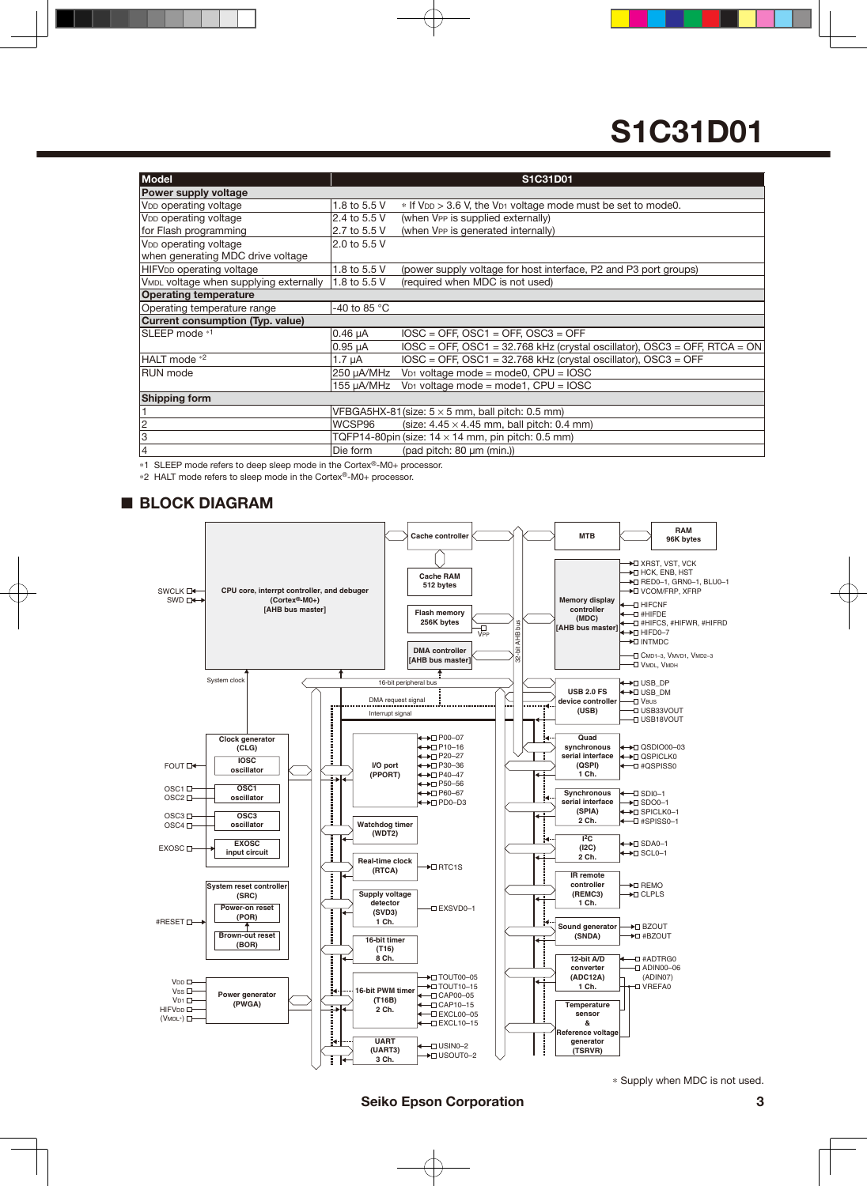| <b>Model</b>                                       |              | S1C31D01                                                                             |
|----------------------------------------------------|--------------|--------------------------------------------------------------------------------------|
| Power supply voltage                               |              |                                                                                      |
| V <sub>DD</sub> operating voltage                  | 1.8 to 5.5 V | * If V <sub>DD</sub> > 3.6 V, the V <sub>D1</sub> voltage mode must be set to mode0. |
| V <sub>DD</sub> operating voltage                  | 2.4 to 5.5 V | (when VPP is supplied externally)                                                    |
| for Flash programming                              | 2.7 to 5.5 V | (when VPP is generated internally)                                                   |
| V <sub>DD</sub> operating voltage                  | 2.0 to 5.5 V |                                                                                      |
| when generating MDC drive voltage                  |              |                                                                                      |
| HIFV <sub>DD</sub> operating voltage               | 1.8 to 5.5 V | (power supply voltage for host interface, P2 and P3 port groups)                     |
| V <sub>MDL</sub> voltage when supplying externally | 1.8 to 5.5 V | (required when MDC is not used)                                                      |
| <b>Operating temperature</b>                       |              |                                                                                      |
| Operating temperature range                        | -40 to 85 °C |                                                                                      |
| Current consumption (Typ. value)                   |              |                                                                                      |
| SLEEP mode <sup>*1</sup>                           | $0.46 \mu A$ | $IOSC = OFF$ , $OSC1 = OFF$ , $OSC3 = OFF$                                           |
|                                                    | $0.95 \mu A$ | $IOSC = OFF$ , $OSC1 = 32.768$ kHz (crystal oscillator), $OSC3 = OFF$ , RTCA = ON    |
| HALT mode *2                                       | 1.7 $\mu$ A  | $IOSC = OFF$ , $OSC1 = 32.768$ kHz (crystal oscillator), $OSC3 = OFF$                |
| <b>RUN</b> mode                                    | 250 µA/MHz   | $V_{D1}$ voltage mode = mode0, CPU = IOSC                                            |
|                                                    | 155 µA/MHz   | $V_{D1}$ voltage mode = mode1, CPU = IOSC                                            |
| <b>Shipping form</b>                               |              |                                                                                      |
|                                                    |              | VFBGA5HX-81 (size: $5 \times 5$ mm, ball pitch: 0.5 mm)                              |
| $\overline{2}$                                     | WCSP96       | (size: $4.45 \times 4.45$ mm, ball pitch: 0.4 mm)                                    |
| l3                                                 |              | TQFP14-80pin (size: $14 \times 14$ mm, pin pitch: 0.5 mm)                            |
| 4                                                  | Die form     | (pad pitch: 80 µm (min.))                                                            |

\*1 SLEEP mode refers to deep sleep mode in the Cortex®-M0+ processor.

\*2 HALT mode refers to sleep mode in the Cortex®-M0+ processor.

### ■ **BLOCK DIAGRAM**



\* Supply when MDC is not used.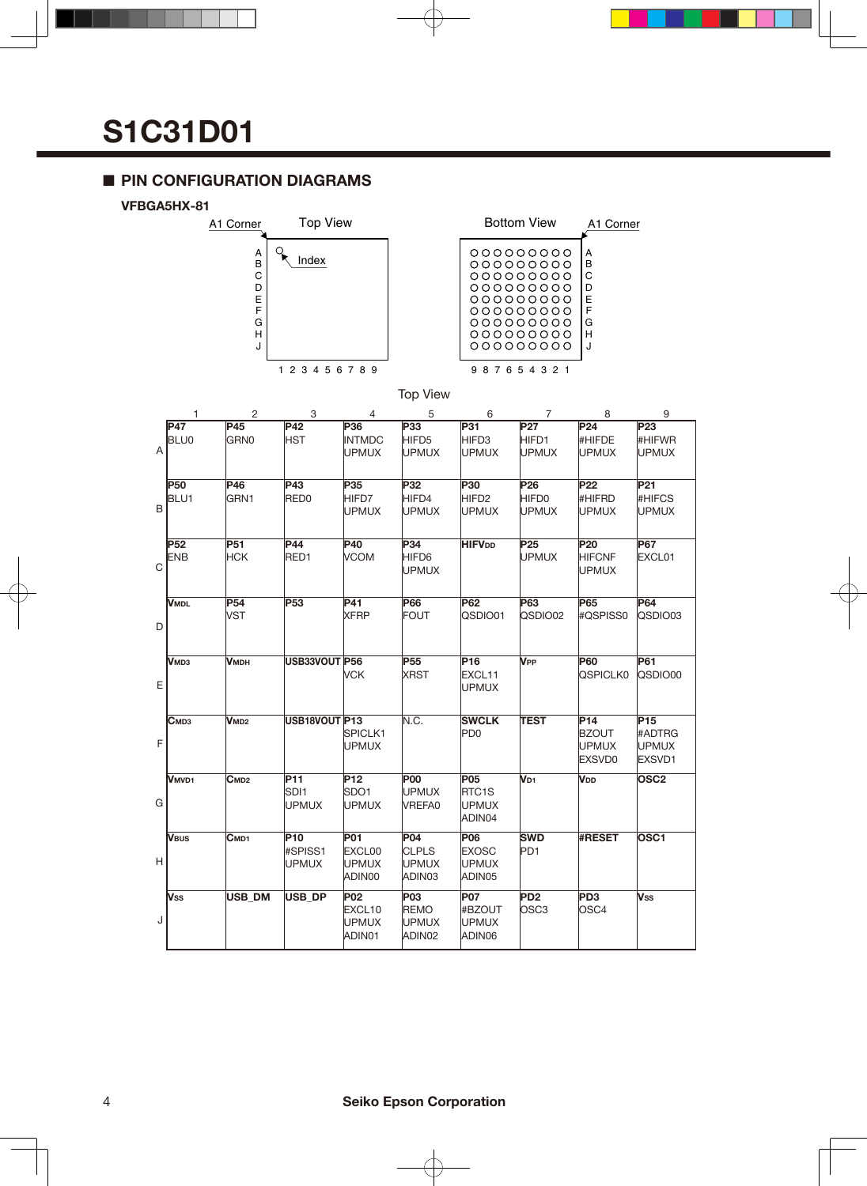### ■ **PIN CONFIGURATION DIAGRAMS**

#### **VFBGA5HX-81**





#### Top View

|              | 1                              | $\overline{2}$           | - 3                                | 4                                              | - 5                                                 | - 6                                                 | $\overline{7}$                                       | - 8                                                              | - 9                                                 |
|--------------|--------------------------------|--------------------------|------------------------------------|------------------------------------------------|-----------------------------------------------------|-----------------------------------------------------|------------------------------------------------------|------------------------------------------------------------------|-----------------------------------------------------|
| $\mathsf{A}$ | <b>P47</b><br><b>BLU0</b>      | <b>P45</b><br>GRN0       | <b>P42</b><br><b>HST</b>           | <b>P36</b><br><b>INTMDC</b><br>UPMUX           | <b>P33</b><br>HIFD <sub>5</sub><br><b>UPMUX</b>     | P31 -<br>HIFD3<br><b>UPMUX</b>                      | <b>P27</b><br>HIFD1<br>UPMUX                         | <b>P24</b><br>#HIFDE<br><b>UPMUX</b>                             | <b>P23</b><br>#HIFWR<br><b>UPMUX</b>                |
| B            | <b>P50</b><br>BLU <sub>1</sub> | P46<br>GRN1              | P43<br>RED <sub>0</sub>            | P35<br>HIFD7<br><b>UPMUX</b>                   | P32<br>HIFD4<br><b>UPMUX</b>                        | <b>P30</b><br>HIFD <sub>2</sub><br><b>UPMUX</b>     | P <sub>26</sub><br>HIFD <sub>0</sub><br><b>UPMUX</b> | <b>P22</b><br>#HIFRD<br><b>UPMUX</b>                             | P <sub>21</sub><br><b>#HIFCS</b><br><b>UPMUX</b>    |
| C            | <b>P52</b><br><b>ENB</b>       | <b>P51</b><br><b>HCK</b> | <b>P44</b><br>RED1                 | <b>P40</b><br><b>VCOM</b>                      | P34<br>HIFD6<br><b>UPMUX</b>                        | <b>HIFVDD</b>                                       | P <sub>25</sub><br><b>UPMUX</b>                      | <b>P20</b><br><b>HIFCNF</b><br>UPMUX                             | <b>P67</b><br>EXCL01                                |
| D            | <b>VMDL</b>                    | <b>P54</b><br><b>VST</b> | P <sub>53</sub>                    | <b>P41</b><br><b>XFRP</b>                      | <b>P66</b><br><b>FOUT</b>                           | P62<br>QSDIO01                                      | <b>P63</b><br>QSDIO02                                | <b>P65</b><br>#QSPISS0                                           | <b>P64</b><br>QSDIO03                               |
| ΕI           | <b>VMD3</b>                    | <b>VMDH</b>              | USB33VOUT P56                      | <b>VCK</b>                                     | P <sub>55</sub><br><b>XRST</b>                      | P16<br>EXCL11<br><b>UPMUX</b>                       | <b>V</b> <sub>PP</sub>                               | <b>P60</b><br><b>QSPICLK0</b>                                    | <b>P61</b><br>QSDIO00                               |
| F            | C <sub>MD3</sub>               | V <sub>MD2</sub>         | USB18VOUT P13                      | SPICLK1<br><b>UPMUX</b>                        | N.C.                                                | <b>SWCLK</b><br>P <sub>D0</sub>                     | <b>TEST</b>                                          | P <sub>14</sub><br><b>BZOUT</b><br><b>UPMUX</b><br><b>EXSVD0</b> | P <sub>15</sub><br>#ADTRG<br><b>UPMUX</b><br>EXSVD1 |
| G            | <b>VMVD1</b>                   | C <sub>MD2</sub>         | <b>P11</b><br>SDI1<br><b>UPMUX</b> | P <sub>12</sub><br>SDO <sub>1</sub><br>UPMUX   | <b>P00</b><br><b>UPMUX</b><br>VREFA0                | <b>P05</b><br>RTC <sub>1</sub> S<br>UPMUX<br>ADIN04 | V <sub>D1</sub>                                      | V <sub>DD</sub>                                                  | OSC <sub>2</sub>                                    |
| нI           | <b>V</b> <sub>BUS</sub>        | $C$ MD1                  | P10<br>#SPISS1<br>UPMUX            | P01<br>EXCL00<br><b>UPMUX</b><br>ADIN00        | <b>P04</b><br><b>CLPLS</b><br>UPMUX<br>ADIN03       | P06<br><b>EXOSC</b><br><b>UPMUX</b><br>ADIN05       | <b>SWD</b><br>PD <sub>1</sub>                        | #RESET                                                           | OSC <sub>1</sub>                                    |
| J            | <b>V</b> ss                    | USB_DM                   | USB_DP                             | <b>P02</b><br>EXCL10<br><b>UPMUX</b><br>ADIN01 | <b>P03</b><br><b>REMO</b><br><b>UPMUX</b><br>ADIN02 | <b>P07</b><br>#BZOUT<br><b>UPMUX</b><br>ADIN06      | PD <sub>2</sub><br>OSC <sub>3</sub>                  | PD <sub>3</sub><br>OSC <sub>4</sub>                              | Vss                                                 |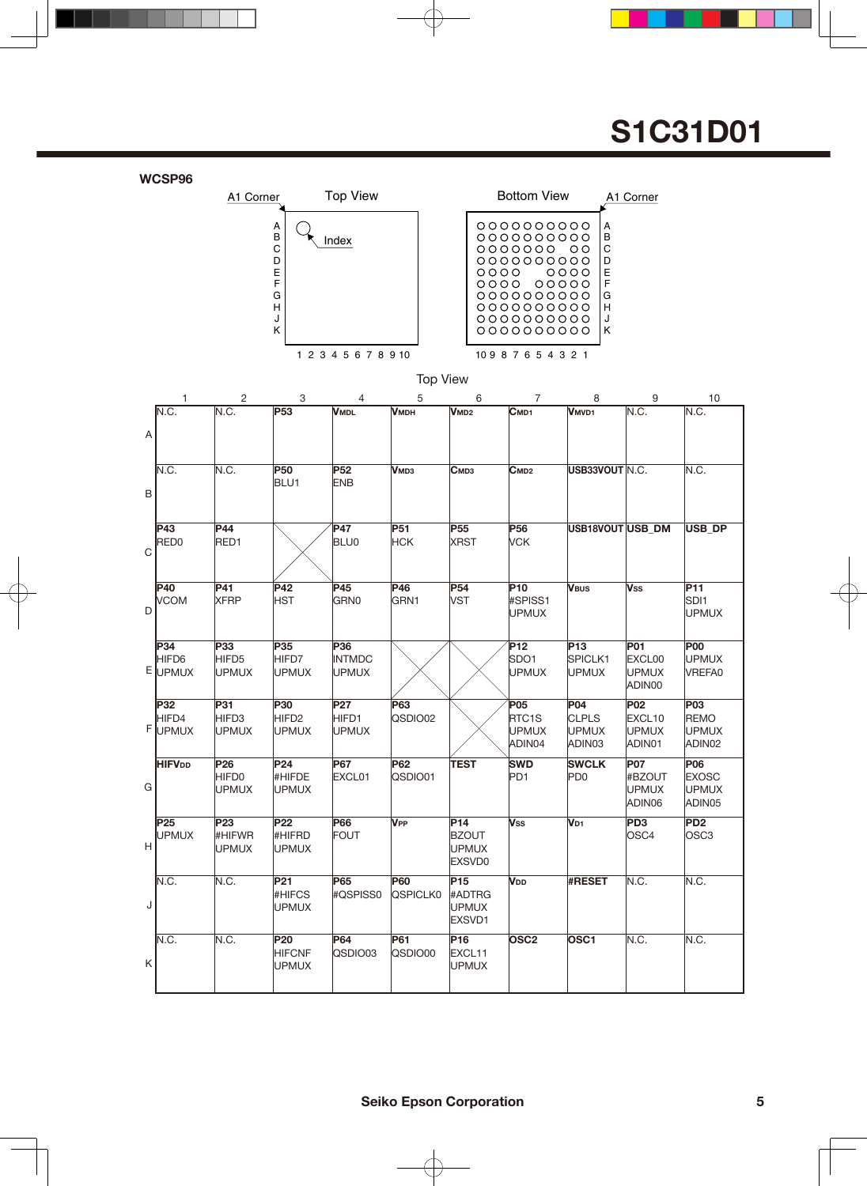|   | WCSP96                          |                                                 |                                                      |                                          |                               |                                                      |                                                                                                                      |                                                                   |                                                |                                                     |
|---|---------------------------------|-------------------------------------------------|------------------------------------------------------|------------------------------------------|-------------------------------|------------------------------------------------------|----------------------------------------------------------------------------------------------------------------------|-------------------------------------------------------------------|------------------------------------------------|-----------------------------------------------------|
|   |                                 | A1 Corner                                       |                                                      | <b>Top View</b>                          |                               |                                                      | <b>Bottom View</b>                                                                                                   |                                                                   | A1 Corner                                      |                                                     |
|   |                                 |                                                 | Α<br>$\sf B$<br>C<br>D<br>Ε<br>F<br>G<br>н<br>J<br>Κ | Index                                    |                               | 0000                                                 | 0000000000<br>000000000<br>0000000<br>000000000<br>0000 00000<br>0000000000<br>0000000000<br>0000000000<br>000000000 | Α<br>B<br>C<br>$\circ$<br>D<br>E<br>0000<br>F<br>G<br>H<br>J<br>Κ |                                                |                                                     |
|   |                                 |                                                 |                                                      | 1 2 3 4 5 6 7 8 9 10                     | <b>Top View</b>               |                                                      | 10987654321                                                                                                          |                                                                   |                                                |                                                     |
|   |                                 |                                                 |                                                      |                                          |                               |                                                      |                                                                                                                      |                                                                   |                                                |                                                     |
|   | 1<br>N.C.                       | $\overline{c}$<br>N.C.                          | 3<br>P53                                             | 4<br><b>VMDL</b>                         | 5<br><b>VMDH</b>              | 6<br>V <sub>MD2</sub>                                | $\overline{7}$<br>C <sub>MD1</sub>                                                                                   | 8<br><b>VMVD1</b>                                                 | 9<br>N.C.                                      | 10<br>N.C.                                          |
| A |                                 |                                                 |                                                      |                                          |                               |                                                      |                                                                                                                      |                                                                   |                                                |                                                     |
| B | N.C.                            | N.C.                                            | <b>P50</b><br>BLU1                                   | <b>P52</b><br><b>ENB</b>                 | <b>V</b> мрз                  | Смрз                                                 | C <sub>MD2</sub>                                                                                                     | USB33VOUT N.C.                                                    |                                                | N.C.                                                |
|   |                                 |                                                 |                                                      |                                          |                               |                                                      |                                                                                                                      |                                                                   |                                                |                                                     |
| C | P43<br>RED <sub>0</sub>         | <b>P44</b><br>RED1                              |                                                      | <b>P47</b><br><b>BLU0</b>                | <b>P51</b><br><b>HCK</b>      | P <sub>55</sub><br><b>XRST</b>                       | P <sub>56</sub><br><b>VCK</b>                                                                                        | USB18VOUT USB DM                                                  |                                                | <b>USB_DP</b>                                       |
| D | <b>P40</b><br><b>VCOM</b>       | <b>P41</b><br><b>XFRP</b>                       | P42<br><b>HST</b>                                    | P45<br><b>GRN0</b>                       | P46<br>GRN1                   | P <sub>54</sub><br><b>VST</b>                        | P <sub>10</sub><br>#SPISS1<br><b>UPMUX</b>                                                                           | <b>VBUS</b>                                                       | Vss                                            | P11<br>SDI <sub>1</sub><br><b>UPMUX</b>             |
|   | P34<br>HIFD6<br>E UPMUX         | P33<br>HIFD <sub>5</sub><br><b>UPMUX</b>        | P35<br>HIFD7<br><b>UPMUX</b>                         | P36<br><b>INTMDC</b><br><b>UPMUX</b>     |                               |                                                      | P <sub>12</sub><br>SDO <sub>1</sub><br><b>UPMUX</b>                                                                  | P <sub>13</sub><br>SPICLK1<br><b>UPMUX</b>                        | P01<br><b>EXCL00</b><br><b>UPMUX</b><br>ADIN00 | <b>P00</b><br>UPMUX<br>VREFA0                       |
| F | P32<br>HIFD4<br>UPMUX           | <b>P31</b><br>HIFD <sub>3</sub><br><b>UPMUX</b> | <b>P30</b><br>HIFD <sub>2</sub><br><b>UPMUX</b>      | P <sub>27</sub><br>HIFD1<br><b>UPMUX</b> | <b>P63</b><br>QSDIO02         |                                                      | P05<br>RTC <sub>1</sub> S<br><b>UPMUX</b><br>ADIN04                                                                  | <b>P04</b><br><b>CLPLS</b><br><b>UPMUX</b><br>ADIN03              | <b>P02</b><br>EXCL10<br><b>UPMUX</b><br>ADIN01 | <b>P03</b><br><b>REMO</b><br><b>UPMUX</b><br>ADIN02 |
| G | <b>HIFVDD</b>                   | P <sub>26</sub><br>HIFD0<br><b>UPMUX</b>        | P24<br>#HIFDE<br><b>UPMUX</b>                        | <b>P67</b><br>EXCL01                     | <b>P62</b><br>QSDIO01         | <b>TEST</b>                                          | <b>SWD</b><br>PD <sub>1</sub>                                                                                        | <b>SWCLK</b><br>PD <sub>0</sub>                                   | <b>P07</b><br>#BZOUT<br><b>UPMUX</b><br>ADIN06 | P06<br><b>EXOSC</b><br><b>UPMUX</b><br>ADIN05       |
| Н | P <sub>25</sub><br><b>UPMUX</b> | P <sub>23</sub><br>#HIFWR<br><b>UPMUX</b>       | P <sub>22</sub><br>#HIFRD<br><b>UPMUX</b>            | <b>P66</b><br><b>FOUT</b>                | <b>V</b> <sub>PP</sub>        | P14<br><b>BZOUT</b><br><b>UPMUX</b><br><b>EXSVD0</b> | <b>Vss</b>                                                                                                           | V <sub>D1</sub>                                                   | PD <sub>3</sub><br>OSC4                        | PD <sub>2</sub><br>OSC <sub>3</sub>                 |
| J | N.C.                            | N.C.                                            | P21<br><b>#HIFCS</b><br><b>UPMUX</b>                 | <b>P65</b><br>#QSPISS0                   | <b>P60</b><br><b>QSPICLK0</b> | P <sub>15</sub><br>#ADTRG<br><b>UPMUX</b><br>EXSVD1  | <b>V</b> <sub>DD</sub>                                                                                               | <b>#RESET</b>                                                     | N.C.                                           | N.C.                                                |
| Κ | N.C.                            | N.C.                                            | <b>P20</b><br><b>HIFCNF</b><br><b>UPMUX</b>          | <b>P64</b><br>QSDIO03                    | P61<br>QSDIO00                | P <sub>16</sub><br>EXCL11<br><b>UPMUX</b>            | OSC <sub>2</sub>                                                                                                     | OSC <sub>1</sub>                                                  | N.C.                                           | N.C.                                                |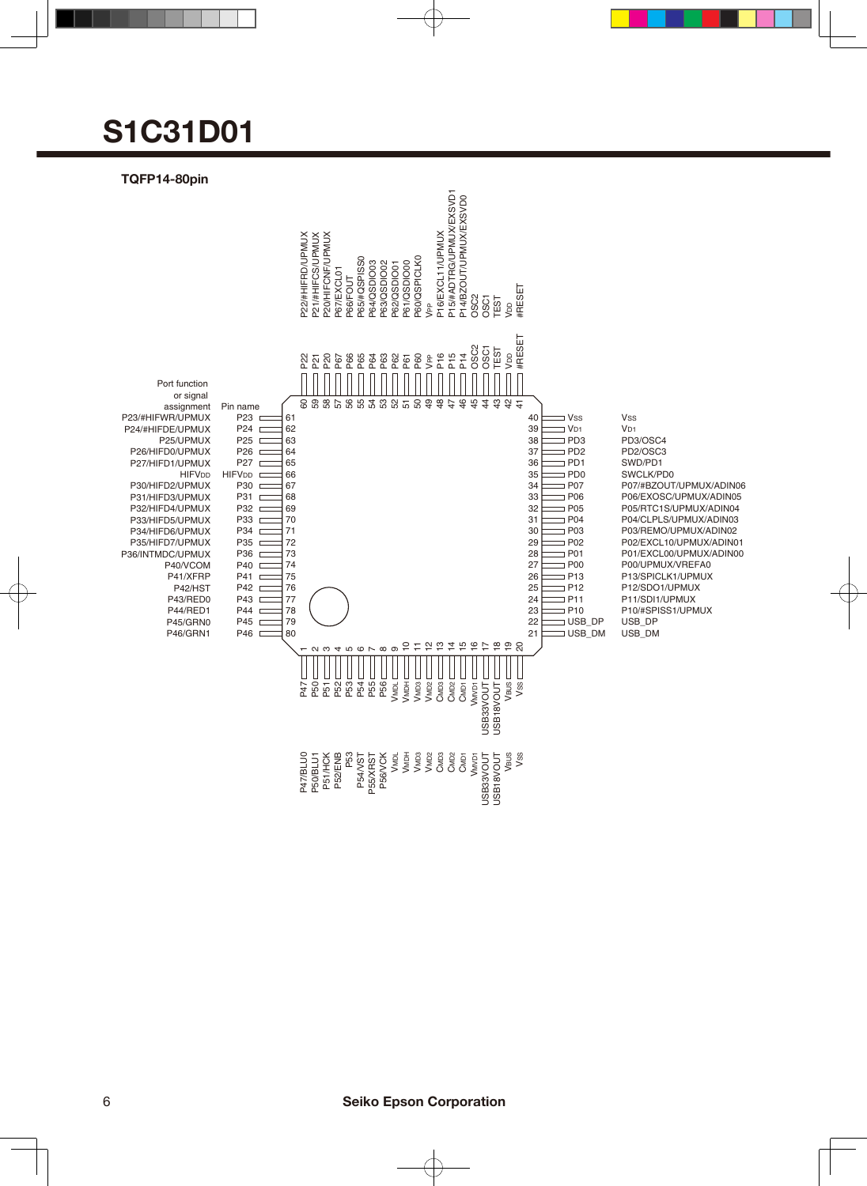#### **TQFP14-80pin**

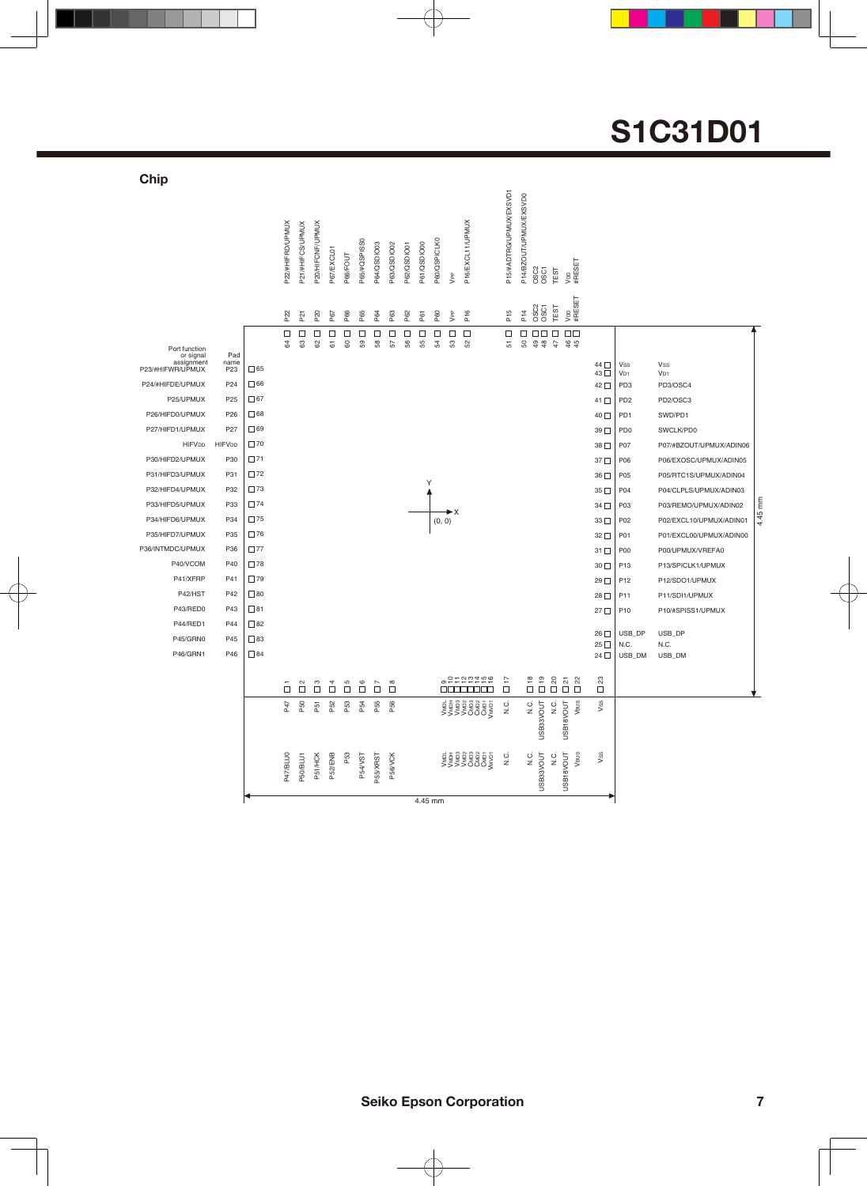| Chip                                                         |                                |              |                  |                  |                  |             |                 |                           |                        |                     |             |             |              |             |                                                 |                         |                                                                     |                     |                                                                                                                                                                                                                                                                                                                                                                                                       |                           |                 |                                    |                             |    |
|--------------------------------------------------------------|--------------------------------|--------------|------------------|------------------|------------------|-------------|-----------------|---------------------------|------------------------|---------------------|-------------|-------------|--------------|-------------|-------------------------------------------------|-------------------------|---------------------------------------------------------------------|---------------------|-------------------------------------------------------------------------------------------------------------------------------------------------------------------------------------------------------------------------------------------------------------------------------------------------------------------------------------------------------------------------------------------------------|---------------------------|-----------------|------------------------------------|-----------------------------|----|
|                                                              |                                |              | P22/#HIFRD/UPMUX | P21/#HIFCS/UPMUX | P20/HIFCNF/UPMUX | P67/EXCL01  | P66/FOUT        | P65/#QSPISS0              | P64/QSDIO03            | P63/QSDIO02         | P62/QSDIO01 | P61/QSDIO00 | P60/QSPICLK0 | <b>S</b>    | P16/EXCL11/UPMUX                                | P15/#ADTRG/UPMUX/EXSVD1 | P14/BZOUT/UPMUX/EXSVD0                                              | <b>OSC2</b><br>OSC1 | TEST                                                                                                                                                                                                                                                                                                                                                                                                  | V <sub>DD</sub><br>#RESET |                 |                                    |                             |    |
|                                                              |                                |              | P22              | P <sub>21</sub>  | P <sub>20</sub>  | P67         | P66             | P65                       | P64                    | P63                 | P62         | P61         | P60          | <b>J</b> PP | P <sub>16</sub>                                 | P <sub>15</sub>         | P14                                                                 | <b>OSC2</b><br>OSC1 | TEST                                                                                                                                                                                                                                                                                                                                                                                                  | VDD<br>#RESET             |                 |                                    |                             |    |
|                                                              |                                |              | $\Box$           | □                | □                | $\Box$      | □               | □                         | $\Box$                 | □                   | □           | □           | □            | $\Box$      | $\Box$                                          | $\Box$                  | $\Box$                                                              | $\Box$ Box          | $\Box$                                                                                                                                                                                                                                                                                                                                                                                                | $\Box$                    |                 |                                    |                             |    |
| Port function<br>or signal<br>assignment<br>P23/#HIFWR/UPMUX | Pad<br>name<br>P <sub>23</sub> | $\Box$ 65    | 84               | 63               | 8                | 67          | 8               | 59                        | 8                      | 57                  | 56          | 55          | £            | S3          | S.                                              | 5                       | ${\tt S0}$                                                          | 99                  | 4 \$ \$                                                                                                                                                                                                                                                                                                                                                                                               |                           | 44 □            | Vss                                | Vss                         |    |
| P24/#HIFDE/UPMUX                                             | P <sub>24</sub>                | $\Box$ 66    |                  |                  |                  |             |                 |                           |                        |                     |             |             |              |             |                                                 |                         |                                                                     |                     |                                                                                                                                                                                                                                                                                                                                                                                                       |                           | 43 □<br>42 □    | V <sub>D1</sub><br>PD <sub>3</sub> | V <sub>D1</sub><br>PD3/OSC4 |    |
| P25/UPMUX                                                    | P <sub>25</sub>                | $\square$ 67 |                  |                  |                  |             |                 |                           |                        |                     |             |             |              |             |                                                 |                         |                                                                     |                     |                                                                                                                                                                                                                                                                                                                                                                                                       |                           | $41$ $\Box$     | PD <sub>2</sub>                    | PD2/OSC3                    |    |
| P26/HIFD0/UPMUX                                              | P <sub>26</sub>                | $\Box$ 68    |                  |                  |                  |             |                 |                           |                        |                     |             |             |              |             |                                                 |                         |                                                                     |                     |                                                                                                                                                                                                                                                                                                                                                                                                       |                           | 40 □            | PD <sub>1</sub>                    | SWD/PD1                     |    |
| P27/HIFD1/UPMUX                                              | P <sub>27</sub>                | $\Box$ 69    |                  |                  |                  |             |                 |                           |                        |                     |             |             |              |             |                                                 |                         |                                                                     |                     |                                                                                                                                                                                                                                                                                                                                                                                                       |                           | 39 <sup>1</sup> | P <sub>D</sub> <sub>0</sub>        | SWCLK/PD0                   |    |
| <b>HIFVDD</b>                                                | <b>HIFVDD</b>                  | $\square$ 70 |                  |                  |                  |             |                 |                           |                        |                     |             |             |              |             |                                                 |                         |                                                                     |                     |                                                                                                                                                                                                                                                                                                                                                                                                       |                           | 38              | P07                                | P07/#BZOUT/UPMUX/ADIN06     |    |
| P30/HIFD2/UPMUX                                              | P30                            | $\square$ 71 |                  |                  |                  |             |                 |                           |                        |                     |             |             |              |             |                                                 |                         |                                                                     |                     |                                                                                                                                                                                                                                                                                                                                                                                                       |                           | 37 <sup>0</sup> | P06                                | P06/EXOSC/UPMUX/ADIN05      |    |
| P31/HIFD3/UPMUX                                              | P31                            | $\square$ 72 |                  |                  |                  |             |                 |                           |                        |                     |             |             |              |             |                                                 |                         |                                                                     |                     |                                                                                                                                                                                                                                                                                                                                                                                                       |                           | $36\Box$        | P05                                | P05/RTC1S/UPMUX/ADIN04      |    |
| P32/HIFD4/UPMUX                                              | P32                            | $\square$ 73 |                  |                  |                  |             |                 |                           |                        |                     |             | Υ           |              |             |                                                 |                         |                                                                     |                     |                                                                                                                                                                                                                                                                                                                                                                                                       |                           | $35\Box$        | P04                                | P04/CLPLS/UPMUX/ADIN03      |    |
| P33/HIFD5/UPMUX                                              | P33                            | $\square$ 74 |                  |                  |                  |             |                 |                           |                        |                     |             |             |              |             |                                                 |                         |                                                                     |                     |                                                                                                                                                                                                                                                                                                                                                                                                       |                           | $34\square$     | P03                                | P03/REMO/UPMUX/ADIN02       | m  |
| P34/HIFD6/UPMUX                                              | P34                            | $\square$ 75 |                  |                  |                  |             |                 |                           |                        |                     |             |             | (0, 0)       | ► х         |                                                 |                         |                                                                     |                     |                                                                                                                                                                                                                                                                                                                                                                                                       |                           | 33 <sup>2</sup> | P02                                | P02/EXCL10/UPMUX/ADIN01     | 45 |
| P35/HIFD7/UPMUX                                              | P35                            | $\square$ 76 |                  |                  |                  |             |                 |                           |                        |                     |             |             |              |             |                                                 |                         |                                                                     |                     |                                                                                                                                                                                                                                                                                                                                                                                                       |                           | $32\square$     | P01                                | P01/EXCL00/UPMUX/ADIN00     |    |
| P36/INTMDC/UPMUX                                             | P36                            | $\Box$ 77    |                  |                  |                  |             |                 |                           |                        |                     |             |             |              |             |                                                 |                         |                                                                     |                     |                                                                                                                                                                                                                                                                                                                                                                                                       |                           | $31$ $\Box$     | P00                                | P00/UPMUX/VREFA0            |    |
| P40/VCOM                                                     | P40                            | $\square$ 78 |                  |                  |                  |             |                 |                           |                        |                     |             |             |              |             |                                                 |                         |                                                                     |                     |                                                                                                                                                                                                                                                                                                                                                                                                       |                           | 30 <sup>2</sup> | P <sub>13</sub>                    | P13/SPICLK1/UPMUX           |    |
| P41/XFRP                                                     | P41                            | $\square$ 79 |                  |                  |                  |             |                 |                           |                        |                     |             |             |              |             |                                                 |                         |                                                                     |                     |                                                                                                                                                                                                                                                                                                                                                                                                       |                           | 29 □            | P <sub>12</sub>                    | P12/SDO1/UPMUX              |    |
| P42/HST                                                      | P42                            | $\square$ 80 |                  |                  |                  |             |                 |                           |                        |                     |             |             |              |             |                                                 |                         |                                                                     |                     |                                                                                                                                                                                                                                                                                                                                                                                                       |                           | 28              | P11                                | P11/SDI1/UPMUX              |    |
| P43/RED0                                                     | P43                            | $\square$ 81 |                  |                  |                  |             |                 |                           |                        |                     |             |             |              |             |                                                 |                         |                                                                     |                     |                                                                                                                                                                                                                                                                                                                                                                                                       |                           | 27 <sup>2</sup> | P <sub>10</sub>                    | P10/#SPISS1/UPMUX           |    |
| P44/RED1                                                     | P44                            | $\Box$ 82    |                  |                  |                  |             |                 |                           |                        |                     |             |             |              |             |                                                 |                         |                                                                     |                     |                                                                                                                                                                                                                                                                                                                                                                                                       |                           |                 |                                    |                             |    |
| P45/GRN0                                                     | P45                            | $\square$ 83 |                  |                  |                  |             |                 |                           |                        |                     |             |             |              |             |                                                 |                         |                                                                     |                     |                                                                                                                                                                                                                                                                                                                                                                                                       |                           | $26\Box$<br>25  | USB_DP<br>N.C.                     | USB_DP<br>N.C.              |    |
| P46/GRN1                                                     | P46                            | $\square$ 84 |                  |                  |                  |             |                 |                           |                        |                     |             |             |              |             |                                                 |                         |                                                                     |                     |                                                                                                                                                                                                                                                                                                                                                                                                       |                           | $24\square$     | USB_DM                             | USB_DM                      |    |
|                                                              |                                |              | $\Box$           | $\sum_{i=1}^{n}$ | S<br>□           | 4<br>$\Box$ | S<br>$\Box$     | $\mathbf \circ$<br>$\Box$ | $\overleftarrow{\Box}$ | $^\infty$<br>$\Box$ |             |             |              |             | opthathe<br><b>NNO 00000</b>                    | $\overline{17}$         | $\begin{array}{c} \mathfrak{g} \\ \mathfrak{g} \\ \Box \end{array}$ |                     | $\begin{array}{c} 8\  \  \, 5\  \  \, 8 \\ \rule{0pt}{0pt} \rule{0pt}{0pt} \rule{0pt}{0pt} \rule{0pt}{0pt} \rule{0pt}{0pt} \rule{0pt}{0pt} \rule{0pt}{0pt} \rule{0pt}{0pt} \rule{0pt}{0pt} \rule{0pt}{0pt} \rule{0pt}{0pt} \rule{0pt}{0pt} \rule{0pt}{0pt} \rule{0pt}{0pt} \rule{0pt}{0pt} \rule{0pt}{0pt} \rule{0pt}{0pt} \rule{0pt}{0pt} \rule{0pt}{0pt} \rule{0pt}{0pt} \rule{0pt}{0pt} \rule{0pt$ |                           | 23<br>$\Box$    |                                    |                             |    |
|                                                              |                                |              |                  |                  |                  |             |                 |                           |                        |                     |             |             |              |             |                                                 |                         |                                                                     |                     |                                                                                                                                                                                                                                                                                                                                                                                                       |                           |                 |                                    |                             |    |
|                                                              |                                |              | P47              | P50              | P51              | P52         | P53             | P54                       | P55                    | P56                 |             |             |              |             | <b>BEBRIDE<br/>SERGER<br/>SERGER<br/>SERGER</b> | $\frac{c}{\alpha}$      | $\frac{C}{Z}$                                                       | <b>USB33VOUT</b>    | USB18VOUT<br>$\mathop \mathrm{g}\nolimits$                                                                                                                                                                                                                                                                                                                                                            | VBUS                      | Vss             |                                    |                             |    |
|                                                              |                                |              | P47/BLU0         | P50/BLU1         | P51/HCK          | P52/ENB     | P <sub>53</sub> | P54/VST                   | P55/XRST               | P56/VCK             |             |             |              |             |                                                 | $\frac{0}{2}$           | C.<br>Z                                                             | <b>USB33VOUT</b>    | <b>USB18VOUT</b><br>$\frac{C}{Z}$                                                                                                                                                                                                                                                                                                                                                                     | VBUS                      | Vss             |                                    |                             |    |
|                                                              |                                |              |                  |                  |                  |             |                 |                           |                        |                     |             | 4.45 mm     |              |             |                                                 |                         |                                                                     |                     |                                                                                                                                                                                                                                                                                                                                                                                                       |                           |                 |                                    |                             |    |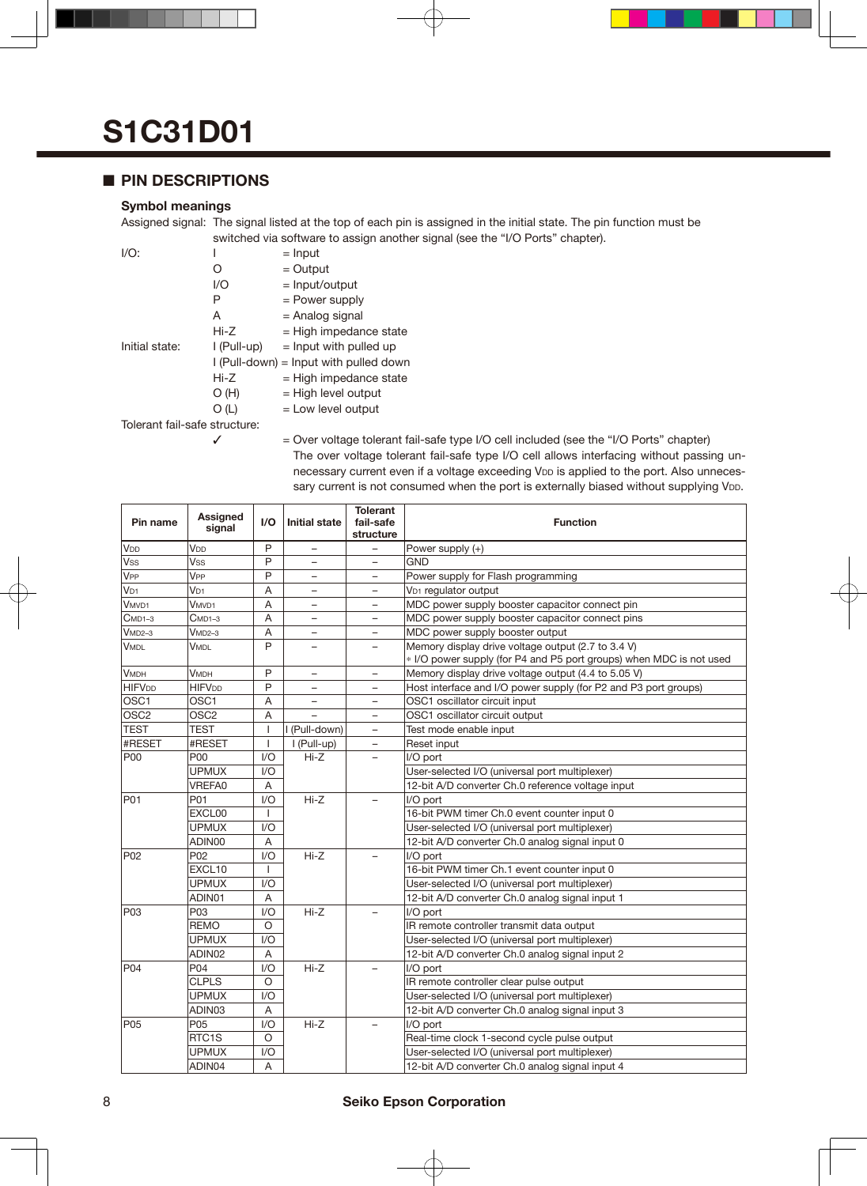### ■ **PIN DESCRIPTIONS**

#### **Symbol meanings**

Assigned signal: The signal listed at the top of each pin is assigned in the initial state. The pin function must be switched via software to assign another signal (see the "I/O Ports" chapter).

| $I/O$ :                       | I           | $=$ Input                                |
|-------------------------------|-------------|------------------------------------------|
|                               | 0           | $=$ Output                               |
|                               | 1/O         | $=$ Input/output                         |
|                               | Ρ           | = Power supply                           |
|                               | A           | = Analog signal                          |
|                               | Hi-Z        | $=$ High impedance state                 |
| Initial state:                | l (Pull-up) | $=$ Input with pulled up                 |
|                               |             | $I$ (Pull-down) = Input with pulled down |
|                               | Hi-Z        | $=$ High impedance state                 |
|                               | O(H)        | $=$ High level output                    |
|                               | O(L)        | $=$ Low level output                     |
| Tolerant fail-safe structure: |             |                                          |

 $\checkmark$  = Over voltage tolerant fail-safe type I/O cell included (see the "I/O Ports" chapter) The over voltage tolerant fail-safe type I/O cell allows interfacing without passing unnecessary current even if a voltage exceeding VDD is applied to the port. Also unnecessary current is not consumed when the port is externally biased without supplying VDD.

| Pin name              | Assigned<br>signal | I/O            | <b>Initial state</b>     | <b>Tolerant</b><br>fail-safe<br>structure | <b>Function</b>                                                                                                           |
|-----------------------|--------------------|----------------|--------------------------|-------------------------------------------|---------------------------------------------------------------------------------------------------------------------------|
| V <sub>DD</sub>       | V <sub>DD</sub>    | P              |                          |                                           | Power supply (+)                                                                                                          |
| <b>Vss</b>            | Vss                | P              | $\equiv$                 |                                           | <b>GND</b>                                                                                                                |
| <b>V<sub>PP</sub></b> | V <sub>PP</sub>    | P              | $\overline{\phantom{0}}$ |                                           | Power supply for Flash programming                                                                                        |
| $V_{D1}$              | V <sub>D1</sub>    | A              | $\overline{\phantom{0}}$ | $\overline{\phantom{0}}$                  | V <sub>D1</sub> regulator output                                                                                          |
| V <sub>MVD1</sub>     | V <sub>MVD1</sub>  | A              | -                        |                                           | MDC power supply booster capacitor connect pin                                                                            |
| $CMD1-3$              | $C$ MD1–3          | A              | $\overline{\phantom{0}}$ |                                           | MDC power supply booster capacitor connect pins                                                                           |
| $VMD2-3$              | $VMD2-3$           | A              | $\overline{\phantom{0}}$ |                                           | MDC power supply booster output                                                                                           |
| <b>VMDL</b>           | VMDL               | P              |                          |                                           | Memory display drive voltage output (2.7 to 3.4 V)<br>* I/O power supply (for P4 and P5 port groups) when MDC is not used |
| <b>VMDH</b>           | <b>V</b> мрн       | P              | -                        | $\qquad \qquad -$                         | Memory display drive voltage output (4.4 to 5.05 V)                                                                       |
| <b>HIFVDD</b>         | <b>HIFVDD</b>      | P              | $\overline{\phantom{0}}$ |                                           | Host interface and I/O power supply (for P2 and P3 port groups)                                                           |
| OSC1                  | OSC <sub>1</sub>   | $\overline{A}$ | $\overline{\phantom{0}}$ | $\overline{\phantom{0}}$                  | OSC1 oscillator circuit input                                                                                             |
| OSC <sub>2</sub>      | OSC <sub>2</sub>   | A              |                          |                                           | OSC1 oscillator circuit output                                                                                            |
| <b>TEST</b>           | <b>TEST</b>        |                | I (Pull-down)            |                                           | Test mode enable input                                                                                                    |
| #RESET                | #RESET             | J.             | I (Pull-up)              | $\overline{\phantom{0}}$                  | Reset input                                                                                                               |
| <b>P00</b>            | P00                | 1/O            | Hi-Z                     |                                           | I/O port                                                                                                                  |
|                       | <b>UPMUX</b>       | 1/O            |                          |                                           | User-selected I/O (universal port multiplexer)                                                                            |
|                       | <b>VREFA0</b>      | A              |                          |                                           | 12-bit A/D converter Ch.0 reference voltage input                                                                         |
| P01                   | P01                | 1/O            | $Hi-Z$                   |                                           | I/O port                                                                                                                  |
|                       | EXCL00             | 1              |                          |                                           | 16-bit PWM timer Ch.0 event counter input 0                                                                               |
|                       | <b>UPMUX</b>       | I/O            |                          |                                           | User-selected I/O (universal port multiplexer)                                                                            |
|                       | ADIN00             | A              |                          |                                           | 12-bit A/D converter Ch.0 analog signal input 0                                                                           |
| P <sub>02</sub>       | P <sub>02</sub>    | 1/O            | $Hi-Z$                   |                                           | I/O port                                                                                                                  |
|                       | EXCL10             |                |                          |                                           | 16-bit PWM timer Ch.1 event counter input 0                                                                               |
|                       | <b>UPMUX</b>       | 1/O            |                          |                                           | User-selected I/O (universal port multiplexer)                                                                            |
|                       | ADIN01             | Α              |                          |                                           | 12-bit A/D converter Ch.0 analog signal input 1                                                                           |
| P <sub>03</sub>       | P03                | 1/O            | $Hi-Z$                   |                                           | I/O port                                                                                                                  |
|                       | <b>REMO</b>        | O              |                          |                                           | IR remote controller transmit data output                                                                                 |
|                       | <b>UPMUX</b>       | 1/O            |                          |                                           | User-selected I/O (universal port multiplexer)                                                                            |
|                       | ADIN02             | A              |                          |                                           | 12-bit A/D converter Ch.0 analog signal input 2                                                                           |
| P04                   | P04                | 1/O            | $Hi-Z$                   |                                           | I/O port                                                                                                                  |
|                       | <b>CLPLS</b>       | O              |                          |                                           | IR remote controller clear pulse output                                                                                   |
|                       | <b>UPMUX</b>       | 1/O            |                          |                                           | User-selected I/O (universal port multiplexer)                                                                            |
|                       | ADIN03             | A              |                          |                                           | 12-bit A/D converter Ch.0 analog signal input 3                                                                           |
| <b>P05</b>            | P <sub>05</sub>    | 1/O            | $Hi-Z$                   |                                           | I/O port                                                                                                                  |
|                       | RTC <sub>1</sub> S | O              |                          |                                           | Real-time clock 1-second cycle pulse output                                                                               |
|                       | <b>UPMUX</b>       | 1/O            |                          |                                           | User-selected I/O (universal port multiplexer)                                                                            |
|                       | ADIN04             | A              |                          |                                           | 12-bit A/D converter Ch.0 analog signal input 4                                                                           |

### 8 **Seiko Epson Corporation**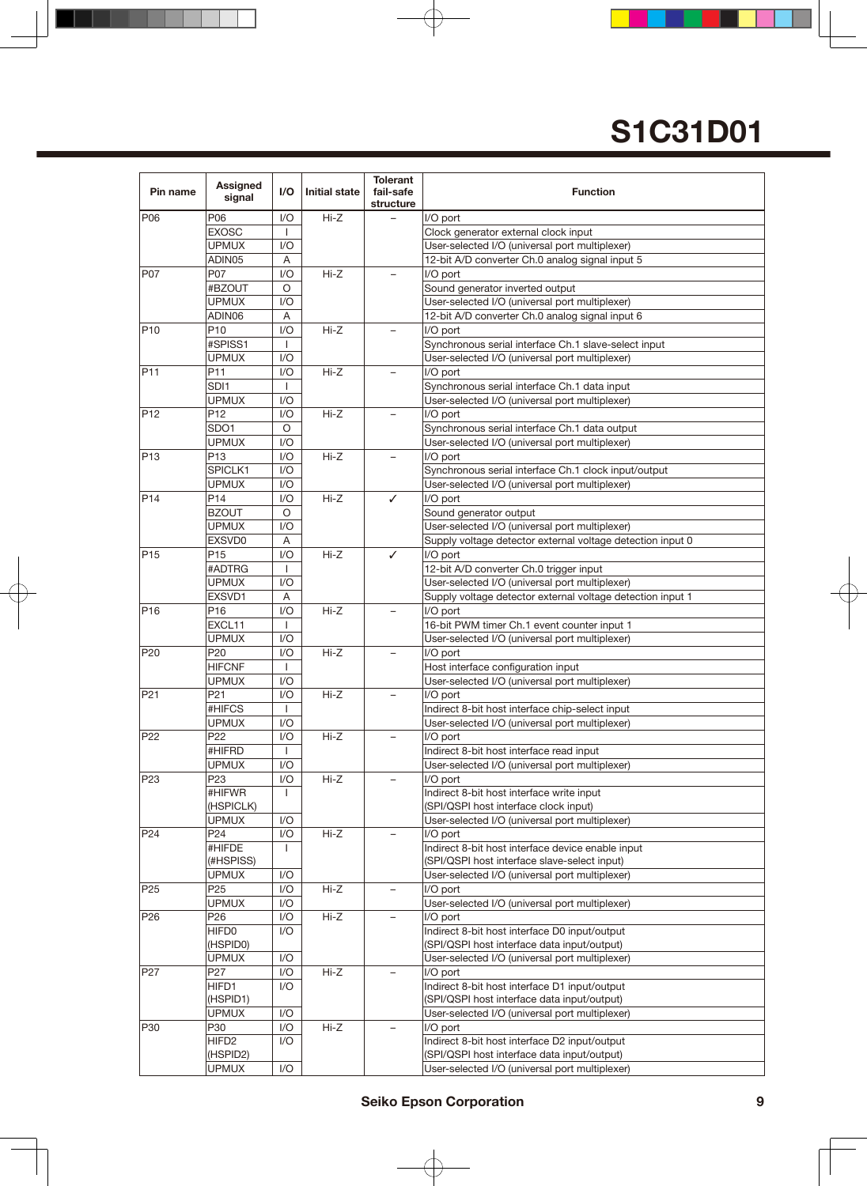| Pin name        | Assigned<br>signal | I/O            | <b>Initial state</b> | <b>Tolerant</b><br>fail-safe<br>structure | <b>Function</b>                                            |
|-----------------|--------------------|----------------|----------------------|-------------------------------------------|------------------------------------------------------------|
| P06             | P06                | I/O            | $Hi-Z$               |                                           | I/O port                                                   |
|                 | <b>EXOSC</b>       |                |                      |                                           | Clock generator external clock input                       |
|                 | <b>UPMUX</b>       | I/O            |                      |                                           | User-selected I/O (universal port multiplexer)             |
|                 | ADIN05             | A              |                      |                                           | 12-bit A/D converter Ch.0 analog signal input 5            |
| P07             | P07                | 1/O            | $Hi-Z$               |                                           | I/O port                                                   |
|                 | #BZOUT             | O              |                      |                                           | Sound generator inverted output                            |
|                 | <b>UPMUX</b>       | 1/O            |                      |                                           | User-selected I/O (universal port multiplexer)             |
|                 | ADIN06             | A              |                      |                                           | 12-bit A/D converter Ch.0 analog signal input 6            |
| P <sub>10</sub> | P <sub>10</sub>    | I/O            | $Hi-Z$               |                                           | I/O port                                                   |
|                 | #SPISS1            | $\mathbf{I}$   |                      |                                           | Synchronous serial interface Ch.1 slave-select input       |
|                 | <b>UPMUX</b>       | I/O            |                      |                                           | User-selected I/O (universal port multiplexer)             |
| P <sub>11</sub> | P11                | I/O            | Hi-Z                 |                                           | I/O port                                                   |
|                 | SDI <sub>1</sub>   | $\mathbf{I}$   |                      |                                           |                                                            |
|                 | <b>UPMUX</b>       |                |                      |                                           | Synchronous serial interface Ch.1 data input               |
|                 |                    | I/O            |                      |                                           | User-selected I/O (universal port multiplexer)             |
| P <sub>12</sub> | P <sub>12</sub>    | I/O            | Hi-Z                 |                                           | I/O port                                                   |
|                 | SDO <sub>1</sub>   | $\circ$        |                      |                                           | Synchronous serial interface Ch.1 data output              |
|                 | <b>UPMUX</b>       | 1/O            |                      |                                           | User-selected I/O (universal port multiplexer)             |
| P <sub>13</sub> | P <sub>13</sub>    | I/O            | $Hi-Z$               |                                           | I/O port                                                   |
|                 | SPICLK1            | I/O            |                      |                                           | Synchronous serial interface Ch.1 clock input/output       |
|                 | <b>UPMUX</b>       | I/O            |                      |                                           | User-selected I/O (universal port multiplexer)             |
| P <sub>14</sub> | P14                | 1/O            | Hi-Z                 | ✓                                         | I/O port                                                   |
|                 | <b>BZOUT</b>       | O              |                      |                                           | Sound generator output                                     |
|                 | <b>UPMUX</b>       | 1/O            |                      |                                           | User-selected I/O (universal port multiplexer)             |
|                 | EXSVD0             | Α              |                      |                                           | Supply voltage detector external voltage detection input 0 |
| P <sub>15</sub> | P <sub>15</sub>    | 1/O            | Hi-Z                 | ✓                                         | I/O port                                                   |
|                 | #ADTRG             | $\mathbf{I}$   |                      |                                           | 12-bit A/D converter Ch.0 trigger input                    |
|                 | <b>UPMUX</b>       | 1/O            |                      |                                           | User-selected I/O (universal port multiplexer)             |
|                 | EXSVD1             | Α              |                      |                                           | Supply voltage detector external voltage detection input 1 |
| P <sub>16</sub> | P <sub>16</sub>    | I/O            | $Hi-Z$               |                                           | I/O port                                                   |
|                 | EXCL11             | $\overline{1}$ |                      |                                           | 16-bit PWM timer Ch.1 event counter input 1                |
|                 | <b>UPMUX</b>       | I/O            |                      |                                           | User-selected I/O (universal port multiplexer)             |
| P <sub>20</sub> | P20                | I/O            | $Hi-Z$               |                                           | I/O port                                                   |
|                 | <b>HIFCNF</b>      | $\mathbf{I}$   |                      |                                           |                                                            |
|                 | <b>UPMUX</b>       |                |                      |                                           | Host interface configuration input                         |
|                 |                    | I/O            |                      |                                           | User-selected I/O (universal port multiplexer)             |
| P <sub>21</sub> | P <sub>21</sub>    | 1/O            | Hi-Z                 | $\overline{\phantom{0}}$                  | I/O port                                                   |
|                 | #HIFCS             | $\mathbf{I}$   |                      |                                           | Indirect 8-bit host interface chip-select input            |
|                 | <b>UPMUX</b>       | 1/O            |                      |                                           | User-selected I/O (universal port multiplexer)             |
| P <sub>22</sub> | P22                | 1/O            | Hi-Z                 |                                           | I/O port                                                   |
|                 | #HIFRD             | $\mathbf{I}$   |                      |                                           | Indirect 8-bit host interface read input                   |
|                 | <b>UPMUX</b>       | 1/O            |                      |                                           | User-selected I/O (universal port multiplexer)             |
| P <sub>23</sub> | P <sub>23</sub>    | 1/O            | Hi-Z                 |                                           | I/O port                                                   |
|                 | #HIFWR             | J.             |                      |                                           | Indirect 8-bit host interface write input                  |
|                 | (HSPICLK)          |                |                      |                                           | (SPI/QSPI host interface clock input)                      |
|                 | <b>UPMUX</b>       | I/O            |                      |                                           | User-selected I/O (universal port multiplexer)             |
| P <sub>24</sub> | P <sub>24</sub>    | 1/O            | Hi-Z                 |                                           | I/O port                                                   |
|                 | #HIFDE             | I.             |                      |                                           | Indirect 8-bit host interface device enable input          |
|                 | (#HSPISS)          |                |                      |                                           | (SPI/QSPI host interface slave-select input)               |
|                 | <b>UPMUX</b>       | I/O            |                      |                                           | User-selected I/O (universal port multiplexer)             |
| P <sub>25</sub> | P <sub>25</sub>    | I/O            | Hi-Z                 | -                                         | I/O port                                                   |
|                 | <b>UPMUX</b>       | I/O            |                      |                                           | User-selected I/O (universal port multiplexer)             |
| P <sub>26</sub> | P <sub>26</sub>    | I/O            | Hi-Z                 |                                           | I/O port                                                   |
|                 | HIFD0              | I/O            |                      |                                           | Indirect 8-bit host interface D0 input/output              |
|                 | (HSPID0)           |                |                      |                                           | (SPI/QSPI host interface data input/output)                |
|                 | <b>UPMUX</b>       | I/O            |                      |                                           | User-selected I/O (universal port multiplexer)             |
| P27             | P <sub>2</sub> 7   | I/O            | Hi-Z                 |                                           | I/O port                                                   |
|                 | HIFD1              | I/O            |                      |                                           | Indirect 8-bit host interface D1 input/output              |
|                 | (HSPID1)           |                |                      |                                           | (SPI/QSPI host interface data input/output)                |
|                 | <b>UPMUX</b>       | 1/O            |                      |                                           | User-selected I/O (universal port multiplexer)             |
| P30             | P30                | I/O            | Hi-Z                 |                                           | I/O port                                                   |
|                 | HIFD <sub>2</sub>  | I/O            |                      |                                           | Indirect 8-bit host interface D2 input/output              |
|                 | (HSPID2)           |                |                      |                                           | (SPI/QSPI host interface data input/output)                |
|                 | <b>UPMUX</b>       | I/O            |                      |                                           | User-selected I/O (universal port multiplexer)             |
|                 |                    |                |                      |                                           |                                                            |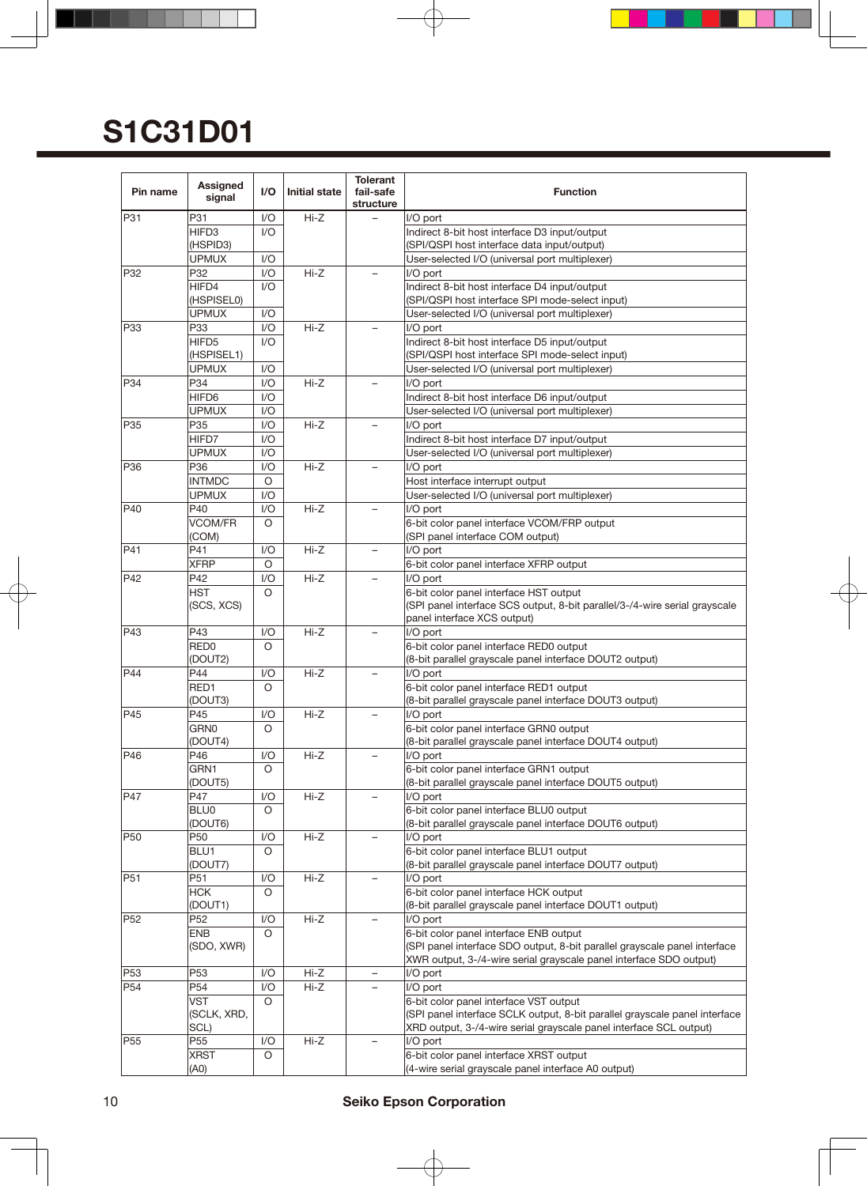| P31<br>P31<br>I/O<br>$Hi-Z$<br>I/O port<br>HIFD <sub>3</sub><br>1/O<br>Indirect 8-bit host interface D3 input/output<br>(HSPID3)<br>(SPI/QSPI host interface data input/output)<br><b>UPMUX</b><br>I/O<br>User-selected I/O (universal port multiplexer)<br>P32<br>$Hi-Z$<br>1/O<br>I/O port<br>P32<br>HIFD4<br>1/O<br>Indirect 8-bit host interface D4 input/output<br>(SPI/QSPI host interface SPI mode-select input)<br>(HSPISEL0)<br><b>UPMUX</b><br>I/O<br>User-selected I/O (universal port multiplexer)<br>P33<br>I/O<br>$Hi-Z$<br>P33<br>I/O port<br>HIFD5<br>1/O<br>Indirect 8-bit host interface D5 input/output<br>(HSPISEL1)<br>(SPI/QSPI host interface SPI mode-select input)<br><b>UPMUX</b><br>I/O<br>User-selected I/O (universal port multiplexer)<br>P34<br>P34<br>I/O<br>$Hi-Z$<br>I/O port<br>HIFD6<br>I/O<br>Indirect 8-bit host interface D6 input/output<br>UPMUX<br>I/O<br>User-selected I/O (universal port multiplexer)<br>P35<br>I/O<br>$Hi-Z$<br>I/O port<br>P35<br>HIFD7<br>I/O<br>Indirect 8-bit host interface D7 input/output<br><b>UPMUX</b><br>1/O<br>User-selected I/O (universal port multiplexer)<br>P36<br>1/O<br>Hi-Z<br>P36<br>I/O port<br>$\circ$<br><b>INTMDC</b><br>Host interface interrupt output<br><b>UPMUX</b><br>$\mathsf{I}/\mathsf{O}$<br>User-selected I/O (universal port multiplexer)<br>P40<br>P40<br>I/O<br>$Hi-Z$<br>I/O port<br><b>VCOM/FR</b><br>$\circ$<br>6-bit color panel interface VCOM/FRP output<br>(COM)<br>(SPI panel interface COM output)<br>P41<br>P41<br>$Hi-Z$<br>I/O port<br>1/O<br><b>XFRP</b><br>O<br>6-bit color panel interface XFRP output<br>P42<br>I/O<br>$Hi-Z$<br>I/O port<br>P42<br><b>HST</b><br>6-bit color panel interface HST output<br>$\circ$<br>(SCS, XCS)<br>(SPI panel interface SCS output, 8-bit parallel/3-/4-wire serial grayscale<br>panel interface XCS output)<br>$Hi-Z$<br>I/O port<br>P43<br>P43<br>I/O<br>RED <sub>0</sub><br>6-bit color panel interface RED0 output<br>O<br>(8-bit parallel grayscale panel interface DOUT2 output)<br>(DOUT2)<br><b>P44</b><br>P44<br>$Hi-Z$<br>I/O port<br>1/O<br>RED1<br>$\circ$<br>6-bit color panel interface RED1 output<br>(DOUT3)<br>(8-bit parallel grayscale panel interface DOUT3 output)<br>P45<br>P45<br>Hi-Z<br>I/O port<br>1/O<br>$\overline{\phantom{0}}$<br>GRN0<br>$\circ$<br>6-bit color panel interface GRN0 output<br>(DOUT4)<br>(8-bit parallel grayscale panel interface DOUT4 output)<br>P46<br>P46<br>I/O<br>$Hi-Z$<br>I/O port<br>GRN1<br>O<br>6-bit color panel interface GRN1 output<br>(8-bit parallel grayscale panel interface DOUT5 output)<br>(DOUT5)<br>$Hi-Z$<br>P47<br>I/O<br>I/O port<br>P47<br>6-bit color panel interface BLU0 output<br><b>BLU0</b><br>O<br>(DOUT6)<br>(8-bit parallel grayscale panel interface DOUT6 output)<br>P50<br>P50<br>Hi-Z<br>I/O port<br>I/O<br>6-bit color panel interface BLU1 output<br>BLU1<br>O<br>(DOUT7)<br>(8-bit parallel grayscale panel interface DOUT7 output)<br>P51<br>Hi-Z<br>P51<br>I/O<br>I/O port<br>6-bit color panel interface HCK output<br><b>HCK</b><br>O<br>(DOUT1)<br>(8-bit parallel grayscale panel interface DOUT1 output)<br>P <sub>52</sub><br>$Hi-Z$<br>I/O port<br>P <sub>52</sub><br>I/O<br>6-bit color panel interface ENB output<br><b>ENB</b><br>O<br>(SPI panel interface SDO output, 8-bit parallel grayscale panel interface<br>(SDO, XWR)<br>XWR output, 3-/4-wire serial grayscale panel interface SDO output)<br>P <sub>53</sub><br>P <sub>53</sub><br>$Hi-Z$<br>I/O<br>I/O port<br>P <sub>54</sub><br>P <sub>54</sub><br>1/O<br>Hi-Z<br>I/O port<br>VST<br>O<br>6-bit color panel interface VST output<br>(SPI panel interface SCLK output, 8-bit parallel grayscale panel interface<br>(SCLK, XRD,<br>SCL)<br>XRD output, 3-/4-wire serial grayscale panel interface SCL output)<br>P <sub>55</sub><br>Hi-Z<br>1/O<br>I/O port<br>P55<br>6-bit color panel interface XRST output<br><b>XRST</b><br>O<br>(4-wire serial grayscale panel interface A0 output)<br>(A0) | Pin name | Assigned<br>signal | 1/O | <b>Initial state</b> | <b>Tolerant</b><br>fail-safe<br>structure | <b>Function</b> |
|------------------------------------------------------------------------------------------------------------------------------------------------------------------------------------------------------------------------------------------------------------------------------------------------------------------------------------------------------------------------------------------------------------------------------------------------------------------------------------------------------------------------------------------------------------------------------------------------------------------------------------------------------------------------------------------------------------------------------------------------------------------------------------------------------------------------------------------------------------------------------------------------------------------------------------------------------------------------------------------------------------------------------------------------------------------------------------------------------------------------------------------------------------------------------------------------------------------------------------------------------------------------------------------------------------------------------------------------------------------------------------------------------------------------------------------------------------------------------------------------------------------------------------------------------------------------------------------------------------------------------------------------------------------------------------------------------------------------------------------------------------------------------------------------------------------------------------------------------------------------------------------------------------------------------------------------------------------------------------------------------------------------------------------------------------------------------------------------------------------------------------------------------------------------------------------------------------------------------------------------------------------------------------------------------------------------------------------------------------------------------------------------------------------------------------------------------------------------------------------------------------------------------------------------------------------------------------------------------------------------------------------------------------------------------------------------------------------------------------------------------------------------------------------------------------------------------------------------------------------------------------------------------------------------------------------------------------------------------------------------------------------------------------------------------------------------------------------------------------------------------------------------------------------------------------------------------------------------------------------------------------------------------------------------------------------------------------------------------------------------------------------------------------------------------------------------------------------------------------------------------------------------------------------------------------------------------------------------------------------------------------------------------------------------------------------------------------------------------------------------------------------------------------------------------------------------------------------------------------------------------------------------------------------------------------------------------------------------------------------------------------------------------|----------|--------------------|-----|----------------------|-------------------------------------------|-----------------|
|                                                                                                                                                                                                                                                                                                                                                                                                                                                                                                                                                                                                                                                                                                                                                                                                                                                                                                                                                                                                                                                                                                                                                                                                                                                                                                                                                                                                                                                                                                                                                                                                                                                                                                                                                                                                                                                                                                                                                                                                                                                                                                                                                                                                                                                                                                                                                                                                                                                                                                                                                                                                                                                                                                                                                                                                                                                                                                                                                                                                                                                                                                                                                                                                                                                                                                                                                                                                                                                                                                                                                                                                                                                                                                                                                                                                                                                                                                                                                                                                                              |          |                    |     |                      |                                           |                 |
|                                                                                                                                                                                                                                                                                                                                                                                                                                                                                                                                                                                                                                                                                                                                                                                                                                                                                                                                                                                                                                                                                                                                                                                                                                                                                                                                                                                                                                                                                                                                                                                                                                                                                                                                                                                                                                                                                                                                                                                                                                                                                                                                                                                                                                                                                                                                                                                                                                                                                                                                                                                                                                                                                                                                                                                                                                                                                                                                                                                                                                                                                                                                                                                                                                                                                                                                                                                                                                                                                                                                                                                                                                                                                                                                                                                                                                                                                                                                                                                                                              |          |                    |     |                      |                                           |                 |
|                                                                                                                                                                                                                                                                                                                                                                                                                                                                                                                                                                                                                                                                                                                                                                                                                                                                                                                                                                                                                                                                                                                                                                                                                                                                                                                                                                                                                                                                                                                                                                                                                                                                                                                                                                                                                                                                                                                                                                                                                                                                                                                                                                                                                                                                                                                                                                                                                                                                                                                                                                                                                                                                                                                                                                                                                                                                                                                                                                                                                                                                                                                                                                                                                                                                                                                                                                                                                                                                                                                                                                                                                                                                                                                                                                                                                                                                                                                                                                                                                              |          |                    |     |                      |                                           |                 |
|                                                                                                                                                                                                                                                                                                                                                                                                                                                                                                                                                                                                                                                                                                                                                                                                                                                                                                                                                                                                                                                                                                                                                                                                                                                                                                                                                                                                                                                                                                                                                                                                                                                                                                                                                                                                                                                                                                                                                                                                                                                                                                                                                                                                                                                                                                                                                                                                                                                                                                                                                                                                                                                                                                                                                                                                                                                                                                                                                                                                                                                                                                                                                                                                                                                                                                                                                                                                                                                                                                                                                                                                                                                                                                                                                                                                                                                                                                                                                                                                                              |          |                    |     |                      |                                           |                 |
|                                                                                                                                                                                                                                                                                                                                                                                                                                                                                                                                                                                                                                                                                                                                                                                                                                                                                                                                                                                                                                                                                                                                                                                                                                                                                                                                                                                                                                                                                                                                                                                                                                                                                                                                                                                                                                                                                                                                                                                                                                                                                                                                                                                                                                                                                                                                                                                                                                                                                                                                                                                                                                                                                                                                                                                                                                                                                                                                                                                                                                                                                                                                                                                                                                                                                                                                                                                                                                                                                                                                                                                                                                                                                                                                                                                                                                                                                                                                                                                                                              |          |                    |     |                      |                                           |                 |
|                                                                                                                                                                                                                                                                                                                                                                                                                                                                                                                                                                                                                                                                                                                                                                                                                                                                                                                                                                                                                                                                                                                                                                                                                                                                                                                                                                                                                                                                                                                                                                                                                                                                                                                                                                                                                                                                                                                                                                                                                                                                                                                                                                                                                                                                                                                                                                                                                                                                                                                                                                                                                                                                                                                                                                                                                                                                                                                                                                                                                                                                                                                                                                                                                                                                                                                                                                                                                                                                                                                                                                                                                                                                                                                                                                                                                                                                                                                                                                                                                              |          |                    |     |                      |                                           |                 |
|                                                                                                                                                                                                                                                                                                                                                                                                                                                                                                                                                                                                                                                                                                                                                                                                                                                                                                                                                                                                                                                                                                                                                                                                                                                                                                                                                                                                                                                                                                                                                                                                                                                                                                                                                                                                                                                                                                                                                                                                                                                                                                                                                                                                                                                                                                                                                                                                                                                                                                                                                                                                                                                                                                                                                                                                                                                                                                                                                                                                                                                                                                                                                                                                                                                                                                                                                                                                                                                                                                                                                                                                                                                                                                                                                                                                                                                                                                                                                                                                                              |          |                    |     |                      |                                           |                 |
|                                                                                                                                                                                                                                                                                                                                                                                                                                                                                                                                                                                                                                                                                                                                                                                                                                                                                                                                                                                                                                                                                                                                                                                                                                                                                                                                                                                                                                                                                                                                                                                                                                                                                                                                                                                                                                                                                                                                                                                                                                                                                                                                                                                                                                                                                                                                                                                                                                                                                                                                                                                                                                                                                                                                                                                                                                                                                                                                                                                                                                                                                                                                                                                                                                                                                                                                                                                                                                                                                                                                                                                                                                                                                                                                                                                                                                                                                                                                                                                                                              |          |                    |     |                      |                                           |                 |
|                                                                                                                                                                                                                                                                                                                                                                                                                                                                                                                                                                                                                                                                                                                                                                                                                                                                                                                                                                                                                                                                                                                                                                                                                                                                                                                                                                                                                                                                                                                                                                                                                                                                                                                                                                                                                                                                                                                                                                                                                                                                                                                                                                                                                                                                                                                                                                                                                                                                                                                                                                                                                                                                                                                                                                                                                                                                                                                                                                                                                                                                                                                                                                                                                                                                                                                                                                                                                                                                                                                                                                                                                                                                                                                                                                                                                                                                                                                                                                                                                              |          |                    |     |                      |                                           |                 |
|                                                                                                                                                                                                                                                                                                                                                                                                                                                                                                                                                                                                                                                                                                                                                                                                                                                                                                                                                                                                                                                                                                                                                                                                                                                                                                                                                                                                                                                                                                                                                                                                                                                                                                                                                                                                                                                                                                                                                                                                                                                                                                                                                                                                                                                                                                                                                                                                                                                                                                                                                                                                                                                                                                                                                                                                                                                                                                                                                                                                                                                                                                                                                                                                                                                                                                                                                                                                                                                                                                                                                                                                                                                                                                                                                                                                                                                                                                                                                                                                                              |          |                    |     |                      |                                           |                 |
|                                                                                                                                                                                                                                                                                                                                                                                                                                                                                                                                                                                                                                                                                                                                                                                                                                                                                                                                                                                                                                                                                                                                                                                                                                                                                                                                                                                                                                                                                                                                                                                                                                                                                                                                                                                                                                                                                                                                                                                                                                                                                                                                                                                                                                                                                                                                                                                                                                                                                                                                                                                                                                                                                                                                                                                                                                                                                                                                                                                                                                                                                                                                                                                                                                                                                                                                                                                                                                                                                                                                                                                                                                                                                                                                                                                                                                                                                                                                                                                                                              |          |                    |     |                      |                                           |                 |
|                                                                                                                                                                                                                                                                                                                                                                                                                                                                                                                                                                                                                                                                                                                                                                                                                                                                                                                                                                                                                                                                                                                                                                                                                                                                                                                                                                                                                                                                                                                                                                                                                                                                                                                                                                                                                                                                                                                                                                                                                                                                                                                                                                                                                                                                                                                                                                                                                                                                                                                                                                                                                                                                                                                                                                                                                                                                                                                                                                                                                                                                                                                                                                                                                                                                                                                                                                                                                                                                                                                                                                                                                                                                                                                                                                                                                                                                                                                                                                                                                              |          |                    |     |                      |                                           |                 |
|                                                                                                                                                                                                                                                                                                                                                                                                                                                                                                                                                                                                                                                                                                                                                                                                                                                                                                                                                                                                                                                                                                                                                                                                                                                                                                                                                                                                                                                                                                                                                                                                                                                                                                                                                                                                                                                                                                                                                                                                                                                                                                                                                                                                                                                                                                                                                                                                                                                                                                                                                                                                                                                                                                                                                                                                                                                                                                                                                                                                                                                                                                                                                                                                                                                                                                                                                                                                                                                                                                                                                                                                                                                                                                                                                                                                                                                                                                                                                                                                                              |          |                    |     |                      |                                           |                 |
|                                                                                                                                                                                                                                                                                                                                                                                                                                                                                                                                                                                                                                                                                                                                                                                                                                                                                                                                                                                                                                                                                                                                                                                                                                                                                                                                                                                                                                                                                                                                                                                                                                                                                                                                                                                                                                                                                                                                                                                                                                                                                                                                                                                                                                                                                                                                                                                                                                                                                                                                                                                                                                                                                                                                                                                                                                                                                                                                                                                                                                                                                                                                                                                                                                                                                                                                                                                                                                                                                                                                                                                                                                                                                                                                                                                                                                                                                                                                                                                                                              |          |                    |     |                      |                                           |                 |
|                                                                                                                                                                                                                                                                                                                                                                                                                                                                                                                                                                                                                                                                                                                                                                                                                                                                                                                                                                                                                                                                                                                                                                                                                                                                                                                                                                                                                                                                                                                                                                                                                                                                                                                                                                                                                                                                                                                                                                                                                                                                                                                                                                                                                                                                                                                                                                                                                                                                                                                                                                                                                                                                                                                                                                                                                                                                                                                                                                                                                                                                                                                                                                                                                                                                                                                                                                                                                                                                                                                                                                                                                                                                                                                                                                                                                                                                                                                                                                                                                              |          |                    |     |                      |                                           |                 |
|                                                                                                                                                                                                                                                                                                                                                                                                                                                                                                                                                                                                                                                                                                                                                                                                                                                                                                                                                                                                                                                                                                                                                                                                                                                                                                                                                                                                                                                                                                                                                                                                                                                                                                                                                                                                                                                                                                                                                                                                                                                                                                                                                                                                                                                                                                                                                                                                                                                                                                                                                                                                                                                                                                                                                                                                                                                                                                                                                                                                                                                                                                                                                                                                                                                                                                                                                                                                                                                                                                                                                                                                                                                                                                                                                                                                                                                                                                                                                                                                                              |          |                    |     |                      |                                           |                 |
|                                                                                                                                                                                                                                                                                                                                                                                                                                                                                                                                                                                                                                                                                                                                                                                                                                                                                                                                                                                                                                                                                                                                                                                                                                                                                                                                                                                                                                                                                                                                                                                                                                                                                                                                                                                                                                                                                                                                                                                                                                                                                                                                                                                                                                                                                                                                                                                                                                                                                                                                                                                                                                                                                                                                                                                                                                                                                                                                                                                                                                                                                                                                                                                                                                                                                                                                                                                                                                                                                                                                                                                                                                                                                                                                                                                                                                                                                                                                                                                                                              |          |                    |     |                      |                                           |                 |
|                                                                                                                                                                                                                                                                                                                                                                                                                                                                                                                                                                                                                                                                                                                                                                                                                                                                                                                                                                                                                                                                                                                                                                                                                                                                                                                                                                                                                                                                                                                                                                                                                                                                                                                                                                                                                                                                                                                                                                                                                                                                                                                                                                                                                                                                                                                                                                                                                                                                                                                                                                                                                                                                                                                                                                                                                                                                                                                                                                                                                                                                                                                                                                                                                                                                                                                                                                                                                                                                                                                                                                                                                                                                                                                                                                                                                                                                                                                                                                                                                              |          |                    |     |                      |                                           |                 |
|                                                                                                                                                                                                                                                                                                                                                                                                                                                                                                                                                                                                                                                                                                                                                                                                                                                                                                                                                                                                                                                                                                                                                                                                                                                                                                                                                                                                                                                                                                                                                                                                                                                                                                                                                                                                                                                                                                                                                                                                                                                                                                                                                                                                                                                                                                                                                                                                                                                                                                                                                                                                                                                                                                                                                                                                                                                                                                                                                                                                                                                                                                                                                                                                                                                                                                                                                                                                                                                                                                                                                                                                                                                                                                                                                                                                                                                                                                                                                                                                                              |          |                    |     |                      |                                           |                 |
|                                                                                                                                                                                                                                                                                                                                                                                                                                                                                                                                                                                                                                                                                                                                                                                                                                                                                                                                                                                                                                                                                                                                                                                                                                                                                                                                                                                                                                                                                                                                                                                                                                                                                                                                                                                                                                                                                                                                                                                                                                                                                                                                                                                                                                                                                                                                                                                                                                                                                                                                                                                                                                                                                                                                                                                                                                                                                                                                                                                                                                                                                                                                                                                                                                                                                                                                                                                                                                                                                                                                                                                                                                                                                                                                                                                                                                                                                                                                                                                                                              |          |                    |     |                      |                                           |                 |
|                                                                                                                                                                                                                                                                                                                                                                                                                                                                                                                                                                                                                                                                                                                                                                                                                                                                                                                                                                                                                                                                                                                                                                                                                                                                                                                                                                                                                                                                                                                                                                                                                                                                                                                                                                                                                                                                                                                                                                                                                                                                                                                                                                                                                                                                                                                                                                                                                                                                                                                                                                                                                                                                                                                                                                                                                                                                                                                                                                                                                                                                                                                                                                                                                                                                                                                                                                                                                                                                                                                                                                                                                                                                                                                                                                                                                                                                                                                                                                                                                              |          |                    |     |                      |                                           |                 |
|                                                                                                                                                                                                                                                                                                                                                                                                                                                                                                                                                                                                                                                                                                                                                                                                                                                                                                                                                                                                                                                                                                                                                                                                                                                                                                                                                                                                                                                                                                                                                                                                                                                                                                                                                                                                                                                                                                                                                                                                                                                                                                                                                                                                                                                                                                                                                                                                                                                                                                                                                                                                                                                                                                                                                                                                                                                                                                                                                                                                                                                                                                                                                                                                                                                                                                                                                                                                                                                                                                                                                                                                                                                                                                                                                                                                                                                                                                                                                                                                                              |          |                    |     |                      |                                           |                 |
|                                                                                                                                                                                                                                                                                                                                                                                                                                                                                                                                                                                                                                                                                                                                                                                                                                                                                                                                                                                                                                                                                                                                                                                                                                                                                                                                                                                                                                                                                                                                                                                                                                                                                                                                                                                                                                                                                                                                                                                                                                                                                                                                                                                                                                                                                                                                                                                                                                                                                                                                                                                                                                                                                                                                                                                                                                                                                                                                                                                                                                                                                                                                                                                                                                                                                                                                                                                                                                                                                                                                                                                                                                                                                                                                                                                                                                                                                                                                                                                                                              |          |                    |     |                      |                                           |                 |
|                                                                                                                                                                                                                                                                                                                                                                                                                                                                                                                                                                                                                                                                                                                                                                                                                                                                                                                                                                                                                                                                                                                                                                                                                                                                                                                                                                                                                                                                                                                                                                                                                                                                                                                                                                                                                                                                                                                                                                                                                                                                                                                                                                                                                                                                                                                                                                                                                                                                                                                                                                                                                                                                                                                                                                                                                                                                                                                                                                                                                                                                                                                                                                                                                                                                                                                                                                                                                                                                                                                                                                                                                                                                                                                                                                                                                                                                                                                                                                                                                              |          |                    |     |                      |                                           |                 |
|                                                                                                                                                                                                                                                                                                                                                                                                                                                                                                                                                                                                                                                                                                                                                                                                                                                                                                                                                                                                                                                                                                                                                                                                                                                                                                                                                                                                                                                                                                                                                                                                                                                                                                                                                                                                                                                                                                                                                                                                                                                                                                                                                                                                                                                                                                                                                                                                                                                                                                                                                                                                                                                                                                                                                                                                                                                                                                                                                                                                                                                                                                                                                                                                                                                                                                                                                                                                                                                                                                                                                                                                                                                                                                                                                                                                                                                                                                                                                                                                                              |          |                    |     |                      |                                           |                 |
|                                                                                                                                                                                                                                                                                                                                                                                                                                                                                                                                                                                                                                                                                                                                                                                                                                                                                                                                                                                                                                                                                                                                                                                                                                                                                                                                                                                                                                                                                                                                                                                                                                                                                                                                                                                                                                                                                                                                                                                                                                                                                                                                                                                                                                                                                                                                                                                                                                                                                                                                                                                                                                                                                                                                                                                                                                                                                                                                                                                                                                                                                                                                                                                                                                                                                                                                                                                                                                                                                                                                                                                                                                                                                                                                                                                                                                                                                                                                                                                                                              |          |                    |     |                      |                                           |                 |
|                                                                                                                                                                                                                                                                                                                                                                                                                                                                                                                                                                                                                                                                                                                                                                                                                                                                                                                                                                                                                                                                                                                                                                                                                                                                                                                                                                                                                                                                                                                                                                                                                                                                                                                                                                                                                                                                                                                                                                                                                                                                                                                                                                                                                                                                                                                                                                                                                                                                                                                                                                                                                                                                                                                                                                                                                                                                                                                                                                                                                                                                                                                                                                                                                                                                                                                                                                                                                                                                                                                                                                                                                                                                                                                                                                                                                                                                                                                                                                                                                              |          |                    |     |                      |                                           |                 |
|                                                                                                                                                                                                                                                                                                                                                                                                                                                                                                                                                                                                                                                                                                                                                                                                                                                                                                                                                                                                                                                                                                                                                                                                                                                                                                                                                                                                                                                                                                                                                                                                                                                                                                                                                                                                                                                                                                                                                                                                                                                                                                                                                                                                                                                                                                                                                                                                                                                                                                                                                                                                                                                                                                                                                                                                                                                                                                                                                                                                                                                                                                                                                                                                                                                                                                                                                                                                                                                                                                                                                                                                                                                                                                                                                                                                                                                                                                                                                                                                                              |          |                    |     |                      |                                           |                 |
|                                                                                                                                                                                                                                                                                                                                                                                                                                                                                                                                                                                                                                                                                                                                                                                                                                                                                                                                                                                                                                                                                                                                                                                                                                                                                                                                                                                                                                                                                                                                                                                                                                                                                                                                                                                                                                                                                                                                                                                                                                                                                                                                                                                                                                                                                                                                                                                                                                                                                                                                                                                                                                                                                                                                                                                                                                                                                                                                                                                                                                                                                                                                                                                                                                                                                                                                                                                                                                                                                                                                                                                                                                                                                                                                                                                                                                                                                                                                                                                                                              |          |                    |     |                      |                                           |                 |
|                                                                                                                                                                                                                                                                                                                                                                                                                                                                                                                                                                                                                                                                                                                                                                                                                                                                                                                                                                                                                                                                                                                                                                                                                                                                                                                                                                                                                                                                                                                                                                                                                                                                                                                                                                                                                                                                                                                                                                                                                                                                                                                                                                                                                                                                                                                                                                                                                                                                                                                                                                                                                                                                                                                                                                                                                                                                                                                                                                                                                                                                                                                                                                                                                                                                                                                                                                                                                                                                                                                                                                                                                                                                                                                                                                                                                                                                                                                                                                                                                              |          |                    |     |                      |                                           |                 |
|                                                                                                                                                                                                                                                                                                                                                                                                                                                                                                                                                                                                                                                                                                                                                                                                                                                                                                                                                                                                                                                                                                                                                                                                                                                                                                                                                                                                                                                                                                                                                                                                                                                                                                                                                                                                                                                                                                                                                                                                                                                                                                                                                                                                                                                                                                                                                                                                                                                                                                                                                                                                                                                                                                                                                                                                                                                                                                                                                                                                                                                                                                                                                                                                                                                                                                                                                                                                                                                                                                                                                                                                                                                                                                                                                                                                                                                                                                                                                                                                                              |          |                    |     |                      |                                           |                 |
|                                                                                                                                                                                                                                                                                                                                                                                                                                                                                                                                                                                                                                                                                                                                                                                                                                                                                                                                                                                                                                                                                                                                                                                                                                                                                                                                                                                                                                                                                                                                                                                                                                                                                                                                                                                                                                                                                                                                                                                                                                                                                                                                                                                                                                                                                                                                                                                                                                                                                                                                                                                                                                                                                                                                                                                                                                                                                                                                                                                                                                                                                                                                                                                                                                                                                                                                                                                                                                                                                                                                                                                                                                                                                                                                                                                                                                                                                                                                                                                                                              |          |                    |     |                      |                                           |                 |
|                                                                                                                                                                                                                                                                                                                                                                                                                                                                                                                                                                                                                                                                                                                                                                                                                                                                                                                                                                                                                                                                                                                                                                                                                                                                                                                                                                                                                                                                                                                                                                                                                                                                                                                                                                                                                                                                                                                                                                                                                                                                                                                                                                                                                                                                                                                                                                                                                                                                                                                                                                                                                                                                                                                                                                                                                                                                                                                                                                                                                                                                                                                                                                                                                                                                                                                                                                                                                                                                                                                                                                                                                                                                                                                                                                                                                                                                                                                                                                                                                              |          |                    |     |                      |                                           |                 |
|                                                                                                                                                                                                                                                                                                                                                                                                                                                                                                                                                                                                                                                                                                                                                                                                                                                                                                                                                                                                                                                                                                                                                                                                                                                                                                                                                                                                                                                                                                                                                                                                                                                                                                                                                                                                                                                                                                                                                                                                                                                                                                                                                                                                                                                                                                                                                                                                                                                                                                                                                                                                                                                                                                                                                                                                                                                                                                                                                                                                                                                                                                                                                                                                                                                                                                                                                                                                                                                                                                                                                                                                                                                                                                                                                                                                                                                                                                                                                                                                                              |          |                    |     |                      |                                           |                 |
|                                                                                                                                                                                                                                                                                                                                                                                                                                                                                                                                                                                                                                                                                                                                                                                                                                                                                                                                                                                                                                                                                                                                                                                                                                                                                                                                                                                                                                                                                                                                                                                                                                                                                                                                                                                                                                                                                                                                                                                                                                                                                                                                                                                                                                                                                                                                                                                                                                                                                                                                                                                                                                                                                                                                                                                                                                                                                                                                                                                                                                                                                                                                                                                                                                                                                                                                                                                                                                                                                                                                                                                                                                                                                                                                                                                                                                                                                                                                                                                                                              |          |                    |     |                      |                                           |                 |
|                                                                                                                                                                                                                                                                                                                                                                                                                                                                                                                                                                                                                                                                                                                                                                                                                                                                                                                                                                                                                                                                                                                                                                                                                                                                                                                                                                                                                                                                                                                                                                                                                                                                                                                                                                                                                                                                                                                                                                                                                                                                                                                                                                                                                                                                                                                                                                                                                                                                                                                                                                                                                                                                                                                                                                                                                                                                                                                                                                                                                                                                                                                                                                                                                                                                                                                                                                                                                                                                                                                                                                                                                                                                                                                                                                                                                                                                                                                                                                                                                              |          |                    |     |                      |                                           |                 |
|                                                                                                                                                                                                                                                                                                                                                                                                                                                                                                                                                                                                                                                                                                                                                                                                                                                                                                                                                                                                                                                                                                                                                                                                                                                                                                                                                                                                                                                                                                                                                                                                                                                                                                                                                                                                                                                                                                                                                                                                                                                                                                                                                                                                                                                                                                                                                                                                                                                                                                                                                                                                                                                                                                                                                                                                                                                                                                                                                                                                                                                                                                                                                                                                                                                                                                                                                                                                                                                                                                                                                                                                                                                                                                                                                                                                                                                                                                                                                                                                                              |          |                    |     |                      |                                           |                 |
|                                                                                                                                                                                                                                                                                                                                                                                                                                                                                                                                                                                                                                                                                                                                                                                                                                                                                                                                                                                                                                                                                                                                                                                                                                                                                                                                                                                                                                                                                                                                                                                                                                                                                                                                                                                                                                                                                                                                                                                                                                                                                                                                                                                                                                                                                                                                                                                                                                                                                                                                                                                                                                                                                                                                                                                                                                                                                                                                                                                                                                                                                                                                                                                                                                                                                                                                                                                                                                                                                                                                                                                                                                                                                                                                                                                                                                                                                                                                                                                                                              |          |                    |     |                      |                                           |                 |
|                                                                                                                                                                                                                                                                                                                                                                                                                                                                                                                                                                                                                                                                                                                                                                                                                                                                                                                                                                                                                                                                                                                                                                                                                                                                                                                                                                                                                                                                                                                                                                                                                                                                                                                                                                                                                                                                                                                                                                                                                                                                                                                                                                                                                                                                                                                                                                                                                                                                                                                                                                                                                                                                                                                                                                                                                                                                                                                                                                                                                                                                                                                                                                                                                                                                                                                                                                                                                                                                                                                                                                                                                                                                                                                                                                                                                                                                                                                                                                                                                              |          |                    |     |                      |                                           |                 |
|                                                                                                                                                                                                                                                                                                                                                                                                                                                                                                                                                                                                                                                                                                                                                                                                                                                                                                                                                                                                                                                                                                                                                                                                                                                                                                                                                                                                                                                                                                                                                                                                                                                                                                                                                                                                                                                                                                                                                                                                                                                                                                                                                                                                                                                                                                                                                                                                                                                                                                                                                                                                                                                                                                                                                                                                                                                                                                                                                                                                                                                                                                                                                                                                                                                                                                                                                                                                                                                                                                                                                                                                                                                                                                                                                                                                                                                                                                                                                                                                                              |          |                    |     |                      |                                           |                 |
|                                                                                                                                                                                                                                                                                                                                                                                                                                                                                                                                                                                                                                                                                                                                                                                                                                                                                                                                                                                                                                                                                                                                                                                                                                                                                                                                                                                                                                                                                                                                                                                                                                                                                                                                                                                                                                                                                                                                                                                                                                                                                                                                                                                                                                                                                                                                                                                                                                                                                                                                                                                                                                                                                                                                                                                                                                                                                                                                                                                                                                                                                                                                                                                                                                                                                                                                                                                                                                                                                                                                                                                                                                                                                                                                                                                                                                                                                                                                                                                                                              |          |                    |     |                      |                                           |                 |
|                                                                                                                                                                                                                                                                                                                                                                                                                                                                                                                                                                                                                                                                                                                                                                                                                                                                                                                                                                                                                                                                                                                                                                                                                                                                                                                                                                                                                                                                                                                                                                                                                                                                                                                                                                                                                                                                                                                                                                                                                                                                                                                                                                                                                                                                                                                                                                                                                                                                                                                                                                                                                                                                                                                                                                                                                                                                                                                                                                                                                                                                                                                                                                                                                                                                                                                                                                                                                                                                                                                                                                                                                                                                                                                                                                                                                                                                                                                                                                                                                              |          |                    |     |                      |                                           |                 |
|                                                                                                                                                                                                                                                                                                                                                                                                                                                                                                                                                                                                                                                                                                                                                                                                                                                                                                                                                                                                                                                                                                                                                                                                                                                                                                                                                                                                                                                                                                                                                                                                                                                                                                                                                                                                                                                                                                                                                                                                                                                                                                                                                                                                                                                                                                                                                                                                                                                                                                                                                                                                                                                                                                                                                                                                                                                                                                                                                                                                                                                                                                                                                                                                                                                                                                                                                                                                                                                                                                                                                                                                                                                                                                                                                                                                                                                                                                                                                                                                                              |          |                    |     |                      |                                           |                 |
|                                                                                                                                                                                                                                                                                                                                                                                                                                                                                                                                                                                                                                                                                                                                                                                                                                                                                                                                                                                                                                                                                                                                                                                                                                                                                                                                                                                                                                                                                                                                                                                                                                                                                                                                                                                                                                                                                                                                                                                                                                                                                                                                                                                                                                                                                                                                                                                                                                                                                                                                                                                                                                                                                                                                                                                                                                                                                                                                                                                                                                                                                                                                                                                                                                                                                                                                                                                                                                                                                                                                                                                                                                                                                                                                                                                                                                                                                                                                                                                                                              |          |                    |     |                      |                                           |                 |
|                                                                                                                                                                                                                                                                                                                                                                                                                                                                                                                                                                                                                                                                                                                                                                                                                                                                                                                                                                                                                                                                                                                                                                                                                                                                                                                                                                                                                                                                                                                                                                                                                                                                                                                                                                                                                                                                                                                                                                                                                                                                                                                                                                                                                                                                                                                                                                                                                                                                                                                                                                                                                                                                                                                                                                                                                                                                                                                                                                                                                                                                                                                                                                                                                                                                                                                                                                                                                                                                                                                                                                                                                                                                                                                                                                                                                                                                                                                                                                                                                              |          |                    |     |                      |                                           |                 |
|                                                                                                                                                                                                                                                                                                                                                                                                                                                                                                                                                                                                                                                                                                                                                                                                                                                                                                                                                                                                                                                                                                                                                                                                                                                                                                                                                                                                                                                                                                                                                                                                                                                                                                                                                                                                                                                                                                                                                                                                                                                                                                                                                                                                                                                                                                                                                                                                                                                                                                                                                                                                                                                                                                                                                                                                                                                                                                                                                                                                                                                                                                                                                                                                                                                                                                                                                                                                                                                                                                                                                                                                                                                                                                                                                                                                                                                                                                                                                                                                                              |          |                    |     |                      |                                           |                 |
|                                                                                                                                                                                                                                                                                                                                                                                                                                                                                                                                                                                                                                                                                                                                                                                                                                                                                                                                                                                                                                                                                                                                                                                                                                                                                                                                                                                                                                                                                                                                                                                                                                                                                                                                                                                                                                                                                                                                                                                                                                                                                                                                                                                                                                                                                                                                                                                                                                                                                                                                                                                                                                                                                                                                                                                                                                                                                                                                                                                                                                                                                                                                                                                                                                                                                                                                                                                                                                                                                                                                                                                                                                                                                                                                                                                                                                                                                                                                                                                                                              |          |                    |     |                      |                                           |                 |
|                                                                                                                                                                                                                                                                                                                                                                                                                                                                                                                                                                                                                                                                                                                                                                                                                                                                                                                                                                                                                                                                                                                                                                                                                                                                                                                                                                                                                                                                                                                                                                                                                                                                                                                                                                                                                                                                                                                                                                                                                                                                                                                                                                                                                                                                                                                                                                                                                                                                                                                                                                                                                                                                                                                                                                                                                                                                                                                                                                                                                                                                                                                                                                                                                                                                                                                                                                                                                                                                                                                                                                                                                                                                                                                                                                                                                                                                                                                                                                                                                              |          |                    |     |                      |                                           |                 |
|                                                                                                                                                                                                                                                                                                                                                                                                                                                                                                                                                                                                                                                                                                                                                                                                                                                                                                                                                                                                                                                                                                                                                                                                                                                                                                                                                                                                                                                                                                                                                                                                                                                                                                                                                                                                                                                                                                                                                                                                                                                                                                                                                                                                                                                                                                                                                                                                                                                                                                                                                                                                                                                                                                                                                                                                                                                                                                                                                                                                                                                                                                                                                                                                                                                                                                                                                                                                                                                                                                                                                                                                                                                                                                                                                                                                                                                                                                                                                                                                                              |          |                    |     |                      |                                           |                 |
|                                                                                                                                                                                                                                                                                                                                                                                                                                                                                                                                                                                                                                                                                                                                                                                                                                                                                                                                                                                                                                                                                                                                                                                                                                                                                                                                                                                                                                                                                                                                                                                                                                                                                                                                                                                                                                                                                                                                                                                                                                                                                                                                                                                                                                                                                                                                                                                                                                                                                                                                                                                                                                                                                                                                                                                                                                                                                                                                                                                                                                                                                                                                                                                                                                                                                                                                                                                                                                                                                                                                                                                                                                                                                                                                                                                                                                                                                                                                                                                                                              |          |                    |     |                      |                                           |                 |
|                                                                                                                                                                                                                                                                                                                                                                                                                                                                                                                                                                                                                                                                                                                                                                                                                                                                                                                                                                                                                                                                                                                                                                                                                                                                                                                                                                                                                                                                                                                                                                                                                                                                                                                                                                                                                                                                                                                                                                                                                                                                                                                                                                                                                                                                                                                                                                                                                                                                                                                                                                                                                                                                                                                                                                                                                                                                                                                                                                                                                                                                                                                                                                                                                                                                                                                                                                                                                                                                                                                                                                                                                                                                                                                                                                                                                                                                                                                                                                                                                              |          |                    |     |                      |                                           |                 |
|                                                                                                                                                                                                                                                                                                                                                                                                                                                                                                                                                                                                                                                                                                                                                                                                                                                                                                                                                                                                                                                                                                                                                                                                                                                                                                                                                                                                                                                                                                                                                                                                                                                                                                                                                                                                                                                                                                                                                                                                                                                                                                                                                                                                                                                                                                                                                                                                                                                                                                                                                                                                                                                                                                                                                                                                                                                                                                                                                                                                                                                                                                                                                                                                                                                                                                                                                                                                                                                                                                                                                                                                                                                                                                                                                                                                                                                                                                                                                                                                                              |          |                    |     |                      |                                           |                 |
|                                                                                                                                                                                                                                                                                                                                                                                                                                                                                                                                                                                                                                                                                                                                                                                                                                                                                                                                                                                                                                                                                                                                                                                                                                                                                                                                                                                                                                                                                                                                                                                                                                                                                                                                                                                                                                                                                                                                                                                                                                                                                                                                                                                                                                                                                                                                                                                                                                                                                                                                                                                                                                                                                                                                                                                                                                                                                                                                                                                                                                                                                                                                                                                                                                                                                                                                                                                                                                                                                                                                                                                                                                                                                                                                                                                                                                                                                                                                                                                                                              |          |                    |     |                      |                                           |                 |
|                                                                                                                                                                                                                                                                                                                                                                                                                                                                                                                                                                                                                                                                                                                                                                                                                                                                                                                                                                                                                                                                                                                                                                                                                                                                                                                                                                                                                                                                                                                                                                                                                                                                                                                                                                                                                                                                                                                                                                                                                                                                                                                                                                                                                                                                                                                                                                                                                                                                                                                                                                                                                                                                                                                                                                                                                                                                                                                                                                                                                                                                                                                                                                                                                                                                                                                                                                                                                                                                                                                                                                                                                                                                                                                                                                                                                                                                                                                                                                                                                              |          |                    |     |                      |                                           |                 |
|                                                                                                                                                                                                                                                                                                                                                                                                                                                                                                                                                                                                                                                                                                                                                                                                                                                                                                                                                                                                                                                                                                                                                                                                                                                                                                                                                                                                                                                                                                                                                                                                                                                                                                                                                                                                                                                                                                                                                                                                                                                                                                                                                                                                                                                                                                                                                                                                                                                                                                                                                                                                                                                                                                                                                                                                                                                                                                                                                                                                                                                                                                                                                                                                                                                                                                                                                                                                                                                                                                                                                                                                                                                                                                                                                                                                                                                                                                                                                                                                                              |          |                    |     |                      |                                           |                 |
|                                                                                                                                                                                                                                                                                                                                                                                                                                                                                                                                                                                                                                                                                                                                                                                                                                                                                                                                                                                                                                                                                                                                                                                                                                                                                                                                                                                                                                                                                                                                                                                                                                                                                                                                                                                                                                                                                                                                                                                                                                                                                                                                                                                                                                                                                                                                                                                                                                                                                                                                                                                                                                                                                                                                                                                                                                                                                                                                                                                                                                                                                                                                                                                                                                                                                                                                                                                                                                                                                                                                                                                                                                                                                                                                                                                                                                                                                                                                                                                                                              |          |                    |     |                      |                                           |                 |
|                                                                                                                                                                                                                                                                                                                                                                                                                                                                                                                                                                                                                                                                                                                                                                                                                                                                                                                                                                                                                                                                                                                                                                                                                                                                                                                                                                                                                                                                                                                                                                                                                                                                                                                                                                                                                                                                                                                                                                                                                                                                                                                                                                                                                                                                                                                                                                                                                                                                                                                                                                                                                                                                                                                                                                                                                                                                                                                                                                                                                                                                                                                                                                                                                                                                                                                                                                                                                                                                                                                                                                                                                                                                                                                                                                                                                                                                                                                                                                                                                              |          |                    |     |                      |                                           |                 |
|                                                                                                                                                                                                                                                                                                                                                                                                                                                                                                                                                                                                                                                                                                                                                                                                                                                                                                                                                                                                                                                                                                                                                                                                                                                                                                                                                                                                                                                                                                                                                                                                                                                                                                                                                                                                                                                                                                                                                                                                                                                                                                                                                                                                                                                                                                                                                                                                                                                                                                                                                                                                                                                                                                                                                                                                                                                                                                                                                                                                                                                                                                                                                                                                                                                                                                                                                                                                                                                                                                                                                                                                                                                                                                                                                                                                                                                                                                                                                                                                                              |          |                    |     |                      |                                           |                 |
|                                                                                                                                                                                                                                                                                                                                                                                                                                                                                                                                                                                                                                                                                                                                                                                                                                                                                                                                                                                                                                                                                                                                                                                                                                                                                                                                                                                                                                                                                                                                                                                                                                                                                                                                                                                                                                                                                                                                                                                                                                                                                                                                                                                                                                                                                                                                                                                                                                                                                                                                                                                                                                                                                                                                                                                                                                                                                                                                                                                                                                                                                                                                                                                                                                                                                                                                                                                                                                                                                                                                                                                                                                                                                                                                                                                                                                                                                                                                                                                                                              |          |                    |     |                      |                                           |                 |
|                                                                                                                                                                                                                                                                                                                                                                                                                                                                                                                                                                                                                                                                                                                                                                                                                                                                                                                                                                                                                                                                                                                                                                                                                                                                                                                                                                                                                                                                                                                                                                                                                                                                                                                                                                                                                                                                                                                                                                                                                                                                                                                                                                                                                                                                                                                                                                                                                                                                                                                                                                                                                                                                                                                                                                                                                                                                                                                                                                                                                                                                                                                                                                                                                                                                                                                                                                                                                                                                                                                                                                                                                                                                                                                                                                                                                                                                                                                                                                                                                              |          |                    |     |                      |                                           |                 |
|                                                                                                                                                                                                                                                                                                                                                                                                                                                                                                                                                                                                                                                                                                                                                                                                                                                                                                                                                                                                                                                                                                                                                                                                                                                                                                                                                                                                                                                                                                                                                                                                                                                                                                                                                                                                                                                                                                                                                                                                                                                                                                                                                                                                                                                                                                                                                                                                                                                                                                                                                                                                                                                                                                                                                                                                                                                                                                                                                                                                                                                                                                                                                                                                                                                                                                                                                                                                                                                                                                                                                                                                                                                                                                                                                                                                                                                                                                                                                                                                                              |          |                    |     |                      |                                           |                 |
|                                                                                                                                                                                                                                                                                                                                                                                                                                                                                                                                                                                                                                                                                                                                                                                                                                                                                                                                                                                                                                                                                                                                                                                                                                                                                                                                                                                                                                                                                                                                                                                                                                                                                                                                                                                                                                                                                                                                                                                                                                                                                                                                                                                                                                                                                                                                                                                                                                                                                                                                                                                                                                                                                                                                                                                                                                                                                                                                                                                                                                                                                                                                                                                                                                                                                                                                                                                                                                                                                                                                                                                                                                                                                                                                                                                                                                                                                                                                                                                                                              |          |                    |     |                      |                                           |                 |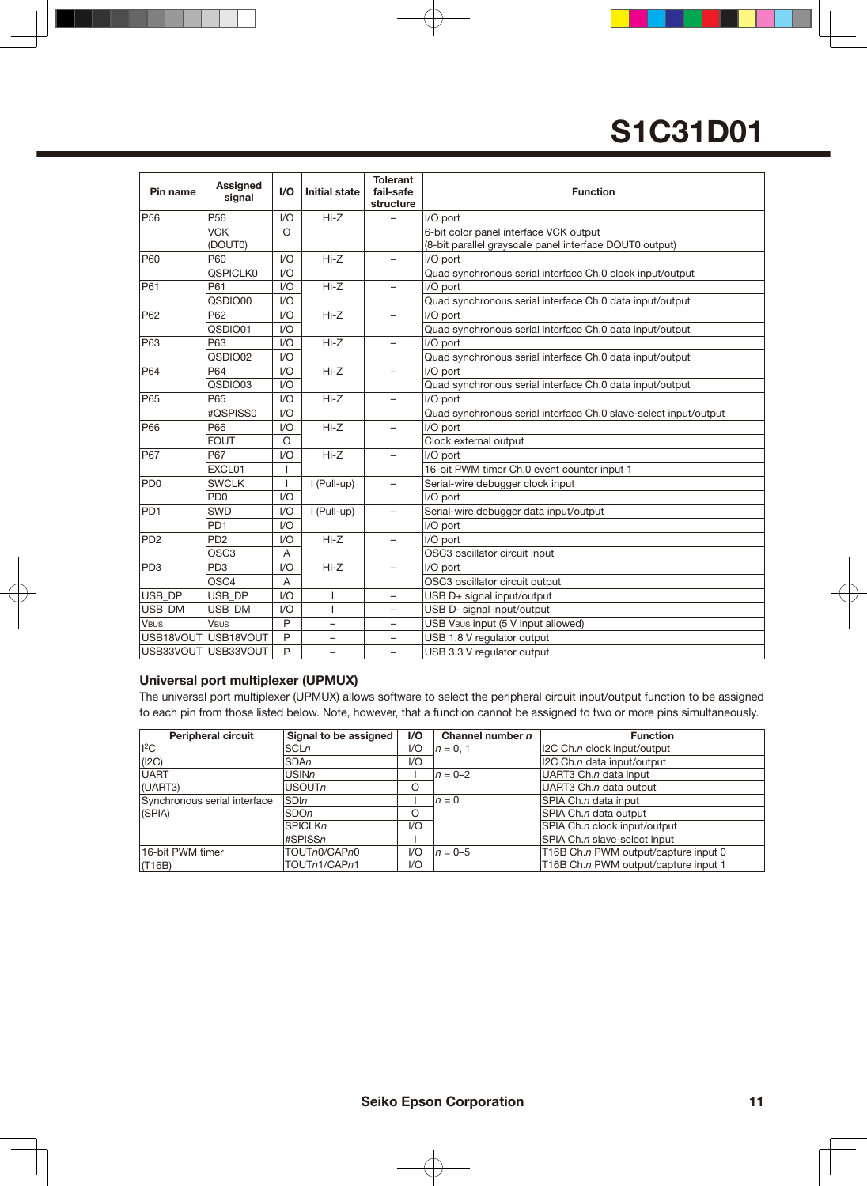| Pin name                    | <b>Assigned</b><br>signal | I/O                      | <b>Initial state</b>     | <b>Tolerant</b><br>fail-safe<br>structure | <b>Function</b>                                                  |
|-----------------------------|---------------------------|--------------------------|--------------------------|-------------------------------------------|------------------------------------------------------------------|
| P <sub>56</sub>             | P <sub>56</sub>           | 1/O                      | $Hi-Z$                   |                                           | I/O port                                                         |
|                             | <b>VCK</b>                | $\Omega$                 |                          |                                           | 6-bit color panel interface VCK output                           |
|                             | (DOUT0)                   |                          |                          |                                           | (8-bit parallel grayscale panel interface DOUT0 output)          |
| P60                         | P60                       | 1/O                      | $Hi-Z$                   | Ξ.                                        | I/O port                                                         |
|                             | <b>QSPICLK0</b>           | 1/O                      |                          |                                           | Quad synchronous serial interface Ch.0 clock input/output        |
| P61                         | P61                       | 1/O                      | $Hi-Z$                   |                                           | I/O port                                                         |
|                             | QSDIO00                   | 1/O                      |                          |                                           | Quad synchronous serial interface Ch.0 data input/output         |
| P62                         | P62                       | 1/O                      | $Hi-Z$                   |                                           | I/O port                                                         |
|                             | QSDIO01                   | 1/O                      |                          |                                           | Quad synchronous serial interface Ch.0 data input/output         |
| P63                         | P63                       | 1/O                      | $Hi-Z$                   | Ξ.                                        | I/O port                                                         |
|                             | QSDIO02                   | 1/O                      |                          |                                           | Quad synchronous serial interface Ch.0 data input/output         |
| P64                         | P64                       | 1/O                      | $Hi-Z$                   |                                           | I/O port                                                         |
|                             | QSDIO03                   | 1/O                      |                          |                                           | Quad synchronous serial interface Ch.0 data input/output         |
| P65                         | P65                       | 1/O                      | $Hi-Z$                   |                                           | I/O port                                                         |
|                             | #QSPISS0                  | 1/O                      |                          |                                           | Quad synchronous serial interface Ch.0 slave-select input/output |
| P66                         | P66                       | 1/O                      | $Hi-Z$                   | ▃                                         | I/O port                                                         |
|                             | <b>FOUT</b>               | $\circ$                  |                          |                                           | Clock external output                                            |
| <b>P67</b>                  | <b>P67</b>                | 1/O                      | $Hi-Z$                   | $\overline{\phantom{0}}$                  | I/O port                                                         |
|                             | EXCL01                    |                          |                          |                                           | 16-bit PWM timer Ch.0 event counter input 1                      |
| PD <sub>0</sub>             | <b>SWCLK</b>              | $\overline{\phantom{a}}$ | I (Pull-up)              | -                                         | Serial-wire debugger clock input                                 |
|                             | PD <sub>0</sub>           | 1/O                      |                          |                                           | I/O port                                                         |
| PD <sub>1</sub>             | <b>SWD</b>                | 1/O                      | I (Pull-up)              |                                           | Serial-wire debugger data input/output                           |
|                             | PD <sub>1</sub>           | 1/O                      |                          |                                           | I/O port                                                         |
| P <sub>D</sub> <sub>2</sub> | PD <sub>2</sub>           | 1/O                      | $Hi-Z$                   | $\overline{\phantom{0}}$                  | I/O port                                                         |
|                             | OSC <sub>3</sub>          | $\overline{A}$           |                          |                                           | OSC3 oscillator circuit input                                    |
| PD <sub>3</sub>             | PD <sub>3</sub>           | 1/O                      | $Hi-Z$                   | -                                         | I/O port                                                         |
|                             | OSC4                      | $\overline{A}$           |                          |                                           | OSC3 oscillator circuit output                                   |
| USB DP                      | USB_DP                    | 1/O                      | ı                        |                                           | USB D+ signal input/output                                       |
| USB DM                      | <b>USB DM</b>             | 1/O                      | T                        |                                           | USB D- signal input/output                                       |
| <b>VBUS</b>                 | <b>VBUS</b>               | P                        | -                        |                                           | USB VBUS input (5 V input allowed)                               |
|                             | USB18VOUT USB18VOUT       | P                        | $\overline{\phantom{0}}$ |                                           | USB 1.8 V regulator output                                       |
|                             | USB33VOUT USB33VOUT       | P                        | -                        | -                                         | USB 3.3 V regulator output                                       |

#### **Universal port multiplexer (UPMUX)**

The universal port multiplexer (UPMUX) allows software to select the peripheral circuit input/output function to be assigned to each pin from those listed below. Note, however, that a function cannot be assigned to two or more pins simultaneously.

| <b>Peripheral circuit</b>    | Signal to be assigned | 1/O | Channel number $n$ | <b>Function</b>                      |
|------------------------------|-----------------------|-----|--------------------|--------------------------------------|
| $ {}^{2}C$                   | SCLn                  | $U$ | $n = 0.1$          | 12C Ch.n clock input/output          |
| (12C)                        | <b>SDAn</b>           | $U$ |                    | I2C Ch.n data input/output           |
| <b>UART</b>                  | <b>USINn</b>          |     | $n = 0-2$          | UART3 Ch.n data input                |
| (UART3)                      | <b>USOUTn</b>         | O   |                    | UART3 Ch.n data output               |
| Synchronous serial interface | <b>SDIn</b>           |     | $n=0$              | SPIA Ch.n data input                 |
| (SPIA)                       | <b>SDOn</b>           | Ο   |                    | SPIA Ch.n data output                |
|                              | <b>SPICLKn</b>        | 1/O |                    | SPIA Ch.n clock input/output         |
|                              | #SPISSn               |     |                    | SPIA Ch.n slave-select input         |
| 16-bit PWM timer             | TOUTn0/CAPn0          | 1/O | $n = 0-5$          | T16B Ch.n PWM output/capture input 0 |
| (T16B)                       | TOUTn1/CAPn1          | 1/O |                    | T16B Ch.n PWM output/capture input 1 |